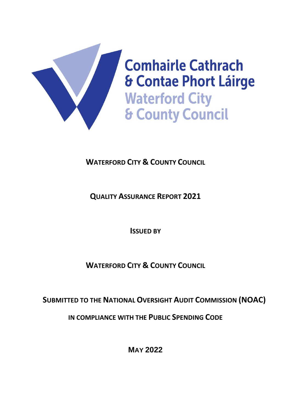

# **WATERFORD CITY & COUNTY COUNCIL**

**QUALITY ASSURANCE REPORT 2021**

**ISSUED BY** 

**WATERFORD CITY & COUNTY COUNCIL**

**SUBMITTED TO THE NATIONAL OVERSIGHT AUDIT COMMISSION (NOAC)**

**IN COMPLIANCE WITH THE PUBLIC SPENDING CODE**

**MAY 2022**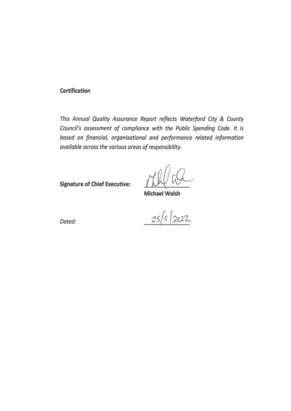#### Certification

This Annual Quality Assurance Report reflects Waterford City & County Council's assessment of compliance with the Public Spending Code. It is based on financial, organisational and performance related information available across the various areas of responsibility.

**Signature of Chief Executive:** 

**Michael Walsh** 

Dated:

 $25/5$  2022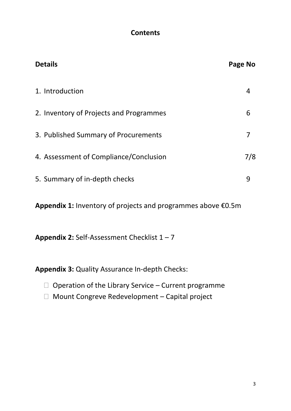### **Contents**

| <b>Details</b>                          | Page No |
|-----------------------------------------|---------|
| 1. Introduction                         |         |
| 2. Inventory of Projects and Programmes | 6       |
| 3. Published Summary of Procurements    | 7       |
| 4. Assessment of Compliance/Conclusion  | 7/8     |
| 5. Summary of in-depth checks           | 9       |
|                                         |         |

**Appendix 1:** Inventory of projects and programmes above €0.5m

**Appendix 2:** Self-Assessment Checklist 1 – 7

**Appendix 3:** Quality Assurance In-depth Checks:

- $\Box$  Operation of the Library Service Current programme
- □ Mount Congreve Redevelopment Capital project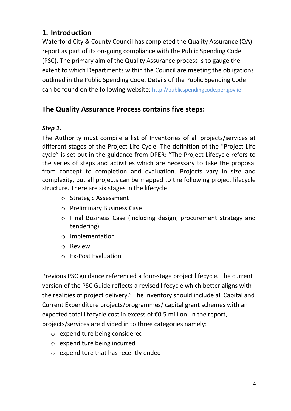# **1. Introduction**

Waterford City & County Council has completed the Quality Assurance (QA) report as part of its on-going compliance with the Public Spending Code (PSC). The primary aim of the Quality Assurance process is to gauge the extent to which Departments within the Council are meeting the obligations outlined in the Public Spending Code. Details of the Public Spending Code can be found on the following website: [http://publicspendingcode.per.gov.ie](http://publicspendingcode.per.gov.ie/)

# **The Quality Assurance Process contains five steps:**

### *Step 1.*

The Authority must compile a list of Inventories of all projects/services at different stages of the Project Life Cycle. The definition of the "Project Life cycle" is set out in the guidance from DPER: "The Project Lifecycle refers to the series of steps and activities which are necessary to take the proposal from concept to completion and evaluation. Projects vary in size and complexity, but all projects can be mapped to the following project lifecycle structure. There are six stages in the lifecycle:

- o Strategic Assessment
- o Preliminary Business Case
- o Final Business Case (including design, procurement strategy and tendering)
- o Implementation
- o Review
- o Ex-Post Evaluation

Previous PSC guidance referenced a four-stage project lifecycle. The current version of the PSC Guide reflects a revised lifecycle which better aligns with the realities of project delivery." The inventory should include all Capital and Current Expenditure projects/programmes/ capital grant schemes with an expected total lifecycle cost in excess of €0.5 million. In the report, projects/services are divided in to three categories namely:

- o expenditure being considered
- o expenditure being incurred
- o expenditure that has recently ended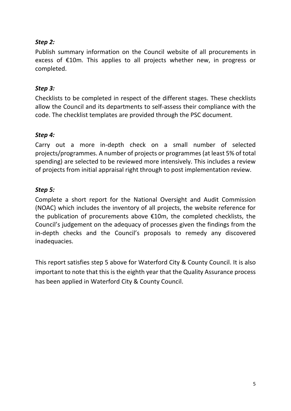### *Step 2:*

Publish summary information on the Council website of all procurements in excess of €10m. This applies to all projects whether new, in progress or completed.

#### *Step 3:*

Checklists to be completed in respect of the different stages. These checklists allow the Council and its departments to self-assess their compliance with the code. The checklist templates are provided through the PSC document.

#### *Step 4:*

Carry out a more in-depth check on a small number of selected projects/programmes. A number of projects or programmes (at least 5% of total spending) are selected to be reviewed more intensively. This includes a review of projects from initial appraisal right through to post implementation review.

#### *Step 5:*

Complete a short report for the National Oversight and Audit Commission (NOAC) which includes the inventory of all projects, the website reference for the publication of procurements above €10m, the completed checklists, the Council's judgement on the adequacy of processes given the findings from the in-depth checks and the Council's proposals to remedy any discovered inadequacies.

This report satisfies step 5 above for Waterford City & County Council. It is also important to note that this is the eighth year that the Quality Assurance process has been applied in Waterford City & County Council.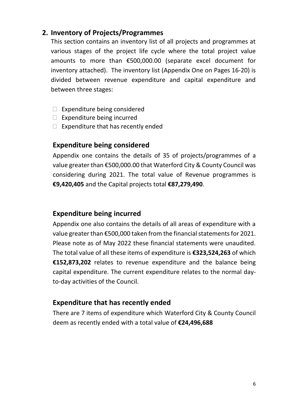### **2. Inventory of Projects/Programmes**

This section contains an inventory list of all projects and programmes at various stages of the project life cycle where the total project value amounts to more than €500,000.00 (separate excel document for inventory attached). The inventory list (Appendix One on Pages 16-20) is divided between revenue expenditure and capital expenditure and between three stages:

- $\Box$  Expenditure being considered
- $\Box$  Expenditure being incurred
- $\Box$  Expenditure that has recently ended

### **Expenditure being considered**

Appendix one contains the details of 35 of projects/programmes of a value greater than €500,000.00 that Waterford City & County Council was considering during 2021. The total value of Revenue programmes is **€9,420,405** and the Capital projects total **€87,279,490**.

### **Expenditure being incurred**

Appendix one also contains the details of all areas of expenditure with a value greater than  $\epsilon$ 500,000 taken from the financial statements for 2021. Please note as of May 2022 these financial statements were unaudited. The total value of all these items of expenditure is **€323,524,263** of which **€152,873,202** relates to revenue expenditure and the balance being capital expenditure. The current expenditure relates to the normal dayto-day activities of the Council.

### **Expenditure that has recently ended**

There are 7 items of expenditure which Waterford City & County Council deem as recently ended with a total value of **€24,496,688**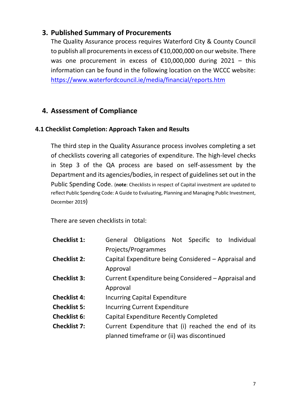### **3. Published Summary of Procurements**

The Quality Assurance process requires Waterford City & County Council to publish all procurements in excess of €10,000,000 on our website. There was one procurement in excess of  $£10,000,000$  during 2021 - this information can be found in the following location on the WCCC website: <https://www.waterfordcouncil.ie/media/financial/reports.htm>

### **4. Assessment of Compliance**

#### **4.1 Checklist Completion: Approach Taken and Results**

The third step in the Quality Assurance process involves completing a set of checklists covering all categories of expenditure. The high-level checks in Step 3 of the QA process are based on self-assessment by the Department and its agencies/bodies, in respect of guidelines set out in the Public Spending Code. (**note**: Checklists in respect of Capital investment are updated to reflect Public Spending Code: A Guide to Evaluating, Planning and Managing Public Investment, December 2019)

There are seven checklists in total:

| <b>Checklist 1:</b> |                                                      | General Obligations Not Specific to Individual       |  |  |  |  |  |  |  |
|---------------------|------------------------------------------------------|------------------------------------------------------|--|--|--|--|--|--|--|
|                     |                                                      | Projects/Programmes                                  |  |  |  |  |  |  |  |
| <b>Checklist 2:</b> |                                                      | Capital Expenditure being Considered – Appraisal and |  |  |  |  |  |  |  |
|                     | Approval                                             |                                                      |  |  |  |  |  |  |  |
| <b>Checklist 3:</b> | Current Expenditure being Considered – Appraisal and |                                                      |  |  |  |  |  |  |  |
|                     | Approval                                             |                                                      |  |  |  |  |  |  |  |
| <b>Checklist 4:</b> |                                                      | <b>Incurring Capital Expenditure</b>                 |  |  |  |  |  |  |  |
| <b>Checklist 5:</b> |                                                      | <b>Incurring Current Expenditure</b>                 |  |  |  |  |  |  |  |
| <b>Checklist 6:</b> |                                                      | <b>Capital Expenditure Recently Completed</b>        |  |  |  |  |  |  |  |
| <b>Checklist 7:</b> |                                                      | Current Expenditure that (i) reached the end of its  |  |  |  |  |  |  |  |
|                     |                                                      | planned timeframe or (ii) was discontinued           |  |  |  |  |  |  |  |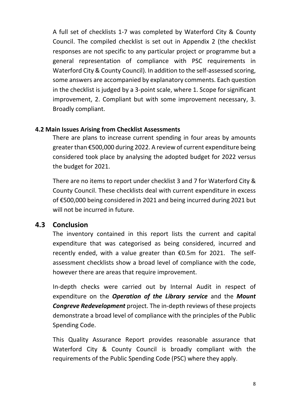A full set of checklists 1-7 was completed by Waterford City & County Council. The compiled checklist is set out in Appendix 2 (the checklist responses are not specific to any particular project or programme but a general representation of compliance with PSC requirements in Waterford City & County Council). In addition to the self-assessed scoring, some answers are accompanied by explanatory comments. Each question in the checklist is judged by a 3-point scale, where 1. Scope for significant improvement, 2. Compliant but with some improvement necessary, 3. Broadly compliant.

#### **4.2 Main Issues Arising from Checklist Assessments**

There are plans to increase current spending in four areas by amounts greater than €500,000 during 2022. A review of current expenditure being considered took place by analysing the adopted budget for 2022 versus the budget for 2021.

There are no items to report under checklist 3 and 7 for Waterford City & County Council. These checklists deal with current expenditure in excess of €500,000 being considered in 2021 and being incurred during 2021 but will not be incurred in future.

### **4.3 Conclusion**

The inventory contained in this report lists the current and capital expenditure that was categorised as being considered, incurred and recently ended, with a value greater than €0.5m for 2021. The selfassessment checklists show a broad level of compliance with the code, however there are areas that require improvement.

In-depth checks were carried out by Internal Audit in respect of expenditure on the *Operation of the Library service* and the *Mount Congreve Redevelopment* project. The in-depth reviews of these projects demonstrate a broad level of compliance with the principles of the Public Spending Code.

This Quality Assurance Report provides reasonable assurance that Waterford City & County Council is broadly compliant with the requirements of the Public Spending Code (PSC) where they apply.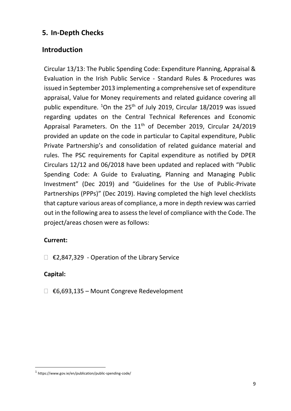### **5. In-Depth Checks**

### **Introduction**

Circular 13/13: The Public Spending Code: Expenditure Planning, Appraisal & Evaluation in the Irish Public Service - Standard Rules & Procedures was issued in September 2013 implementing a comprehensive set of expenditure appraisal, Value for Money requirements and related guidance covering all public expenditure. <sup>1</sup>On the 25<sup>th</sup> of July 2019, Circular 18/2019 was issued regarding updates on the Central Technical References and Economic Appraisal Parameters. On the 11<sup>th</sup> of December 2019, Circular 24/2019 provided an update on the code in particular to Capital expenditure, Public Private Partnership's and consolidation of related guidance material and rules. The PSC requirements for Capital expenditure as notified by DPER Circulars 12/12 and 06/2018 have been updated and replaced with "Public Spending Code: A Guide to Evaluating, Planning and Managing Public Investment" (Dec 2019) and "Guidelines for the Use of Public-Private Partnerships (PPPs)" (Dec 2019). Having completed the high level checklists that capture various areas of compliance, a more in depth review was carried out in the following area to assess the level of compliance with the Code. The project/areas chosen were as follows:

#### **Current:**

€2,847,329 - Operation of the Library Service

#### **Capital:**

€6,693,135 – Mount Congreve Redevelopment

<sup>1</sup> https://www.gov.ie/en/publication/public-spending-code/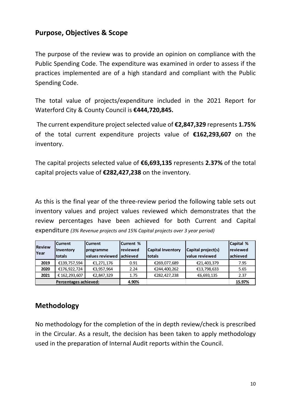### **Purpose, Objectives & Scope**

The purpose of the review was to provide an opinion on compliance with the Public Spending Code. The expenditure was examined in order to assess if the practices implemented are of a high standard and compliant with the Public Spending Code.

The total value of projects/expenditure included in the 2021 Report for Waterford City & County Council is **€444,720,845.**

The current expenditure project selected value of **€2,847,329** represents **1.75%** of the total current expenditure projects value of **€162,293,607** on the inventory.

The capital projects selected value of **€6,693,135** represents **2.37%** of the total capital projects value of **€282,427,238** on the inventory.

As this is the final year of the three-review period the following table sets out inventory values and project values reviewed which demonstrates that the review percentages have been achieved for both Current and Capital expenditure *(3% Revenue projects and 15% Capital projects over 3 year period)*

|                       | lCurrent                                     | <b>ICurrent %</b><br>lCurrent |                      |                          |                       | Capital %         |
|-----------------------|----------------------------------------------|-------------------------------|----------------------|--------------------------|-----------------------|-------------------|
| <b>Review</b>         | <i><u><b>Inventory</b></u></i><br> programme |                               | Ireviewed            | <b>Capital Inventory</b> | Capital project(s)    | <b>I</b> reviewed |
| Year                  | Itotals                                      | lvalues reviewed              | lachieved            | <b>Itotals</b>           | <b>value reviewed</b> | lachieved         |
| 2019                  | €139,757,594                                 | €1,271,176                    | 0.91                 | €269,077,689             | €21,403,379           | 7.95              |
| 2020                  | €176,922,724                                 | €3,957,964                    | €244,400,262<br>2.24 |                          | €13,798,633           | 5.65              |
| 2021                  | € 162,293,607                                | €2,847,329                    | 1.75                 | €282,427,238             | €6,693,135            | 2.37              |
| Percentages achieved: |                                              |                               | 4.90%                |                          |                       | 15.97%            |

### **Methodology**

No methodology for the completion of the in depth review/check is prescribed in the Circular. As a result, the decision has been taken to apply methodology used in the preparation of Internal Audit reports within the Council.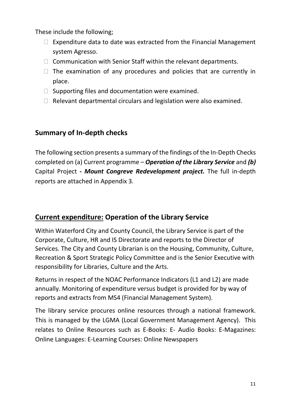These include the following;

- $\Box$  Expenditure data to date was extracted from the Financial Management system Agresso.
- $\Box$  Communication with Senior Staff within the relevant departments.
- $\Box$  The examination of any procedures and policies that are currently in place.
- $\Box$  Supporting files and documentation were examined.
- $\Box$  Relevant departmental circulars and legislation were also examined.

# **Summary of In-depth checks**

The following section presents a summary of the findings of the In-Depth Checks completed on (a) Current programme – *Operation of the Library Service* and *(b)*  Capital Project *- Mount Congreve Redevelopment project.* The full in-depth reports are attached in Appendix 3.

# **Current expenditure: Operation of the Library Service**

Within Waterford City and County Council, the Library Service is part of the Corporate, Culture, HR and IS Directorate and reports to the Director of Services. The City and County Librarian is on the Housing, Community, Culture, Recreation & Sport Strategic Policy Committee and is the Senior Executive with responsibility for Libraries, Culture and the Arts.

Returns in respect of the NOAC Performance Indicators (L1 and L2) are made annually. Monitoring of expenditure versus budget is provided for by way of reports and extracts from MS4 (Financial Management System).

The library service procures online resources through a national framework. This is managed by the LGMA (Local Government Management Agency). This relates to Online Resources such as E-Books: E- Audio Books: E-Magazines: Online Languages: E-Learning Courses: Online Newspapers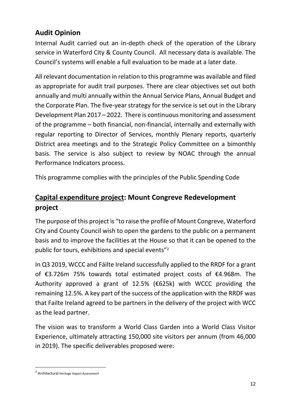# **Audit Opinion**

Internal Audit carried out an in-depth check of the operation of the Library service in Waterford City & County Council. All necessary data is available. The Council's systems will enable a full evaluation to be made at a later date.

All relevant documentation in relation to this programme was available and filed as appropriate for audit trail purposes. There are clear objectives set out both annually and multi annually within the Annual Service Plans, Annual Budget and the Corporate Plan. The five-year strategy for the service is set out in the Library Development Plan 2017 – 2022. There is continuous monitoring and assessment of the programme – both financial, non-financial, internally and externally with regular reporting to Director of Services, monthly Plenary reports, quarterly District area meetings and to the Strategic Policy Committee on a bimonthly basis. The service is also subject to review by NOAC through the annual Performance Indicators process.

This programme complies with the principles of the Public Spending Code

# **Capital expenditure project: Mount Congreve Redevelopment project**

The purpose of this project is "to raise the profile of Mount Congreve, Waterford City and County Council wish to open the gardens to the public on a permanent basis and to improve the facilities at the House so that it can be opened to the public for tours, exhibitions and special events"<sup>2</sup>

In Q3 2019, WCCC and Fáilte Ireland successfully applied to the RRDF for a grant of €3.726m 75% towards total estimated project costs of €4.968m. The Authority approved a grant of 12.5% ( $\epsilon$ 625k) with WCCC providing the remaining 12.5%. A key part of the success of the application with the RRDF was that Failte Ireland agreed to be partners in the delivery of the project with WCC as the lead partner.

The vision was to transform a World Class Garden into a World Class Visitor Experience, ultimately attracting 150,000 site visitors per annum (from 46,000 in 2019). The specific deliverables proposed were:

<sup>2</sup> Architectural Heritage Impact Assessment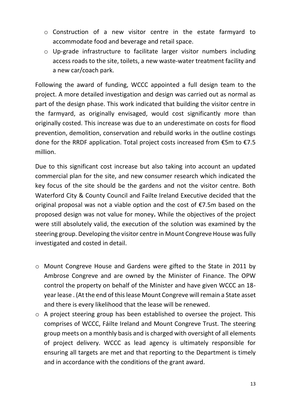- o Construction of a new visitor centre in the estate farmyard to accommodate food and beverage and retail space.
- o Up-grade infrastructure to facilitate larger visitor numbers including access roads to the site, toilets, a new waste-water treatment facility and a new car/coach park.

Following the award of funding, WCCC appointed a full design team to the project. A more detailed investigation and design was carried out as normal as part of the design phase. This work indicated that building the visitor centre in the farmyard, as originally envisaged, would cost significantly more than originally costed. This increase was due to an underestimate on costs for flood prevention, demolition, conservation and rebuild works in the outline costings done for the RRDF application. Total project costs increased from €5m to €7.5 million.

Due to this significant cost increase but also taking into account an updated commercial plan for the site, and new consumer research which indicated the key focus of the site should be the gardens and not the visitor centre. Both Waterford City & County Council and Failte Ireland Executive decided that the original proposal was not a viable option and the cost of €7.5m based on the proposed design was not value for money**.** While the objectives of the project were still absolutely valid, the execution of the solution was examined by the steering group. Developing the visitor centre in Mount Congreve House was fully investigated and costed in detail.

- o Mount Congreve House and Gardens were gifted to the State in 2011 by Ambrose Congreve and are owned by the Minister of Finance. The OPW control the property on behalf of the Minister and have given WCCC an 18 year lease . (At the end of this lease Mount Congreve will remain a State asset and there is every likelihood that the lease will be renewed.
- o A project steering group has been established to oversee the project. This comprises of WCCC, Fáilte Ireland and Mount Congreve Trust. The steering group meets on a monthly basis and is charged with oversight of all elements of project delivery. WCCC as lead agency is ultimately responsible for ensuring all targets are met and that reporting to the Department is timely and in accordance with the conditions of the grant award.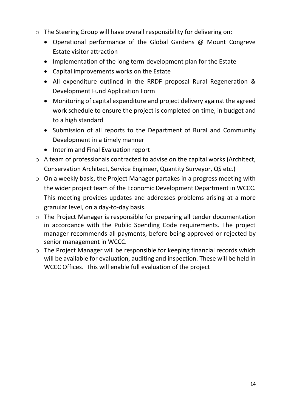- o The Steering Group will have overall responsibility for delivering on:
	- Operational performance of the Global Gardens @ Mount Congreve Estate visitor attraction
	- Implementation of the long term-development plan for the Estate
	- Capital improvements works on the Estate
	- All expenditure outlined in the RRDF proposal Rural Regeneration & Development Fund Application Form
	- Monitoring of capital expenditure and project delivery against the agreed work schedule to ensure the project is completed on time, in budget and to a high standard
	- Submission of all reports to the Department of Rural and Community Development in a timely manner
	- Interim and Final Evaluation report
- o A team of professionals contracted to advise on the capital works (Architect, Conservation Architect, Service Engineer, Quantity Surveyor, QS etc.)
- o On a weekly basis, the Project Manager partakes in a progress meeting with the wider project team of the Economic Development Department in WCCC. This meeting provides updates and addresses problems arising at a more granular level, on a day-to-day basis.
- o The Project Manager is responsible for preparing all tender documentation in accordance with the Public Spending Code requirements. The project manager recommends all payments, before being approved or rejected by senior management in WCCC.
- o The Project Manager will be responsible for keeping financial records which will be available for evaluation, auditing and inspection. These will be held in WCCC Offices. This will enable full evaluation of the project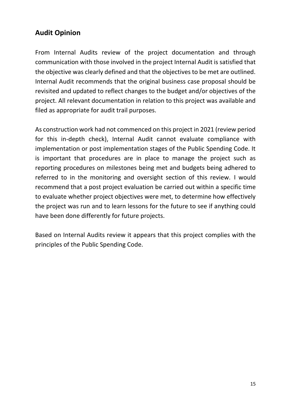# **Audit Opinion**

From Internal Audits review of the project documentation and through communication with those involved in the project Internal Audit is satisfied that the objective was clearly defined and that the objectives to be met are outlined. Internal Audit recommends that the original business case proposal should be revisited and updated to reflect changes to the budget and/or objectives of the project. All relevant documentation in relation to this project was available and filed as appropriate for audit trail purposes.

As construction work had not commenced on this project in 2021 (review period for this in-depth check), Internal Audit cannot evaluate compliance with implementation or post implementation stages of the Public Spending Code. It is important that procedures are in place to manage the project such as reporting procedures on milestones being met and budgets being adhered to referred to in the monitoring and oversight section of this review. I would recommend that a post project evaluation be carried out within a specific time to evaluate whether project objectives were met, to determine how effectively the project was run and to learn lessons for the future to see if anything could have been done differently for future projects.

Based on Internal Audits review it appears that this project complies with the principles of the Public Spending Code.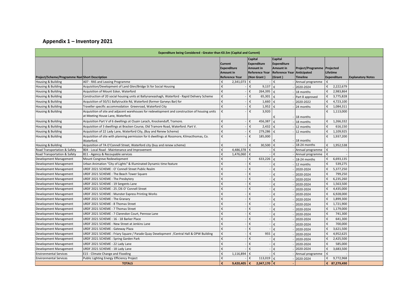### **Appendix 1 – Inventory 2021**

|                                               | Expenditure being Considered - Greater than €0.5m (Capital and Current)                                                              |                                                   |                                                                                                                    |   |           |                                                                                     |                                                |                                |                          |  |
|-----------------------------------------------|--------------------------------------------------------------------------------------------------------------------------------------|---------------------------------------------------|--------------------------------------------------------------------------------------------------------------------|---|-----------|-------------------------------------------------------------------------------------|------------------------------------------------|--------------------------------|--------------------------|--|
| Project/Scheme/Programme NamShort Description |                                                                                                                                      | Current<br><b>Expenditure</b><br><b>Amount in</b> | Capital<br><b>Expenditure</b><br><b>Amount in</b><br><b>Reference Year</b><br><b>Reference Year</b><br>(Non Grant) |   |           | <b>Capital</b><br>Expenditure<br>Amount in<br>Reference Year Anticipated<br>(Grant) | Project/Programme Projected<br><b>Timeline</b> | Lifetime<br><b>Expenditure</b> | <b>Explanatory Notes</b> |  |
| Housing & Building                            | A07 - RAS and Leasing Programme                                                                                                      | €                                                 | 2,341,073                                                                                                          | € |           | €                                                                                   | Annual programme                               |                                |                          |  |
| Housing & Building                            | Acquisition/Development of Land Glen/Bridge St for Social Housing                                                                    | €                                                 |                                                                                                                    | € | 9,137     | ŧ                                                                                   | 2020-2024                                      | € 2,222,679                    |                          |  |
| Housing & Building                            | Acquisition of Mount Esker, Waterford                                                                                                | €                                                 |                                                                                                                    | € | 264,395   | €                                                                                   | 18 months                                      | € 2,983,864                    |                          |  |
| Housing & Building                            | Construction of 20 social housing units at Ballynaneashagh, Waterford - Rapid Delivery Scheme                                        | €                                                 |                                                                                                                    | € | 65,301    | €                                                                                   | Part 8 approved                                | 3,775,828<br>€                 |                          |  |
| Housing & Building                            | Acquisition of 50/51 Ballytruckle Rd, Waterford (former Garveys Bar) for                                                             | €                                                 |                                                                                                                    | € | 1,660     | €                                                                                   | 2020-2022                                      | 4,723,100<br>€                 |                          |  |
| Housing & Building                            | Traveller specific accommodation Greenroad, Waterford City                                                                           | €                                                 |                                                                                                                    | € | 1,952     | ŧ                                                                                   | 24 months                                      | €<br>1,084,311                 |                          |  |
| Housing & Building                            | Acquisition of site and adjacent warehouses for redevelopment and construction of housing units<br>at Meeting House Lane, Waterford. | €                                                 |                                                                                                                    | € | 3,920     | €                                                                                   | - 18 months                                    | € $1,113,000$                  |                          |  |
| Housing & Building                            | Acquisition Part V of 6 dwellings at Cluain Larach, Knockenduff, Tramore.                                                            | €                                                 |                                                                                                                    | € | 456,387   | ŧ                                                                                   | 18 months                                      | €<br>1,266,332                 |                          |  |
| Housing & Building                            | Acquisition of 3 dwellings at Bracken Course, Old Tramore Road, Waterford. Part V.                                                   | €                                                 |                                                                                                                    | € | 2,432     | €                                                                                   | 12 months                                      | €<br>616,150                   |                          |  |
| Housing & Building                            | Acquisition of 22 Lady Lane, Waterford City, (Buy and Renew Scheme)                                                                  | €                                                 |                                                                                                                    | € | 279,286   | ŧ                                                                                   | 12 months                                      | € 1,109,925                    |                          |  |
| Housing & Building                            | Acquisition of site with planning permission for 6 dwellings at Rossmore, Kilmacthomas, Co.<br>Waterford.                            | €                                                 |                                                                                                                    | f | 185,000   | €.                                                                                  | $-18$ months                                   | € 1,937,200                    |                          |  |
| Housing & Building                            | Acquisition of 7A O'Connell Street, Waterford city (buy and renew scheme)                                                            | €                                                 |                                                                                                                    | € | 30,500    | €                                                                                   | 18-24 months                                   | €<br>1,952,538                 |                          |  |
| Road Transportation & Safety                  | B04 - Local Road - Maintenance and Improvement                                                                                       | €                                                 | 4,486,378                                                                                                          | € |           | €                                                                                   | Annual programme                               | €                              |                          |  |
| Road Transportation & Safety                  | B11 - Agency & Recoupable services                                                                                                   | €                                                 | 1,476,060                                                                                                          | € |           | €                                                                                   | Annual programme                               |                                |                          |  |
| Development Management                        | Mount Congreve Redevelopment                                                                                                         | €                                                 |                                                                                                                    | € | 633,226   | €                                                                                   | 18-24 months                                   | 6,693,135                      |                          |  |
| Development Management                        | Urban Animation "City of Lights" & Illuminated Dynamic time feature                                                                  | €                                                 |                                                                                                                    | € |           | ŧ                                                                                   | 12 months                                      | €<br>539,275                   |                          |  |
| Development Management                        | URDF 2021 SCHEME : O' Connell Street Public Realm                                                                                    | €                                                 |                                                                                                                    | € |           | €                                                                                   | 2020-2024                                      | 5,377,250<br>€                 |                          |  |
| Development Management                        | URDF 2021 SCHEME: The Beach Tower Square                                                                                             | €                                                 |                                                                                                                    | € |           | €                                                                                   | 2020-2024                                      | 799,250<br>€                   |                          |  |
| Development Management                        | URDF 2021 SCHEME: The Presbytery                                                                                                     | €                                                 |                                                                                                                    | € |           | €                                                                                   | 2020-2024                                      | 6,235,260<br>€                 |                          |  |
| Development Management                        | URDF 2021 SCHEME: 19 Sergents Lane                                                                                                   | €                                                 |                                                                                                                    | € |           | €                                                                                   | 2020-2024                                      | 1,563,500                      |                          |  |
| Development Management                        | URDF 2021 SCHEME: 25 /26 O' Connell Street                                                                                           | €                                                 |                                                                                                                    | € |           | €                                                                                   | 2020-2024                                      | €<br>4,435,000                 |                          |  |
| Development Management                        | URDF 2021 SCHEME: Munster Express Printing Works                                                                                     | €                                                 |                                                                                                                    | € |           | €                                                                                   | 2020-2024                                      | 6,928,000                      |                          |  |
| Development Management                        | URDF 2021 SCHEME: The Granary                                                                                                        | €                                                 |                                                                                                                    | € |           | ŧ                                                                                   | 2020-2024                                      | €<br>1,899,300                 |                          |  |
| Development Management                        | URDF 2021 SCHEME: 8 Thomas Street                                                                                                    | €                                                 |                                                                                                                    | € |           | €                                                                                   | 2020-2024                                      | € 1,721,900                    |                          |  |
| Development Management                        | URDF 2021 SCHEME: 7 Thomas Street                                                                                                    | €                                                 |                                                                                                                    | € |           | €                                                                                   | 2020-2024                                      | 1,179,000<br>€                 |                          |  |
| Development Management                        | URDF 2021 SCHEME: 7 Clarendon Court, Penrose Lane                                                                                    | €                                                 |                                                                                                                    | € |           | €                                                                                   | 2020-2024                                      | £<br>741,300                   |                          |  |
| Development Management                        | URDF 2021 SCHEME: 16 - 18 Barker Place                                                                                               | €                                                 |                                                                                                                    | € |           | €                                                                                   | 2020-2024                                      | €<br>641,300                   |                          |  |
| Development Management                        | URDF 2021 SCHEME: New Street at Jenkins Lane                                                                                         | €                                                 |                                                                                                                    | € |           | €                                                                                   | 2020-2024                                      | €<br>700,000                   |                          |  |
| Development Management                        | URDF 2021 SCHEME : Gateway Plaza                                                                                                     | €                                                 |                                                                                                                    | € |           | €                                                                                   | 2020-2024                                      | 3,621,500<br>€                 |                          |  |
| Development Management                        | URDF 2021 SCHEME: Friary Square / Parade Quay Development / Central Hall & OPW Building                                              | €                                                 |                                                                                                                    | € | 955       | €                                                                                   | 2020-2024                                      | 4,952,625<br>€                 |                          |  |
| Development Management                        | URDF 2021 SCHEME: Spring Garden Park                                                                                                 | €                                                 |                                                                                                                    | € |           | ŧ                                                                                   | 2020-2024                                      | 2,425,500<br>€                 |                          |  |
| Development Management                        | URDF 2021 SCHEME: 22 Lady Lane                                                                                                       | €                                                 |                                                                                                                    | € |           | €                                                                                   | 2020-2024                                      | 585,000<br>€                   |                          |  |
| Development Management                        | URDF 2021 SCHEME: 18 Lady Lane                                                                                                       | €                                                 |                                                                                                                    | £ |           | €                                                                                   | 2020-2024                                      | 3,683,500<br>€                 |                          |  |
| <b>Environmental Services</b>                 | E15 - Climate Change and Flooding                                                                                                    | €                                                 | 1,116,894                                                                                                          | € |           | €                                                                                   | Annual programme                               | €                              |                          |  |
| <b>Environmental Services</b>                 | Public Lighting Energy Efficiency Project                                                                                            | €                                                 |                                                                                                                    | € | 113,019   | €                                                                                   | 2020-2024                                      | 9,772,968<br>€                 |                          |  |
|                                               | <b>TOTALS</b>                                                                                                                        | €                                                 | 9,420,405                                                                                                          | € | 2,047,170 | l€                                                                                  |                                                | € 87,279,490                   |                          |  |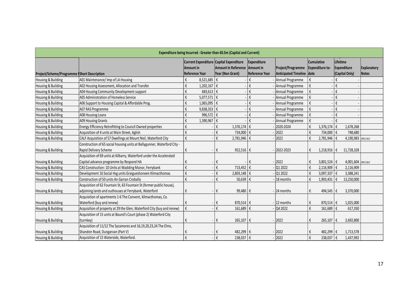| Expenditure being Incurred - Greater than €0.5m (Capital and Current) |                                                                          |                                                                                                                                                                                             |                              |                                                |                                             |                                                  |                                  |  |  |  |
|-----------------------------------------------------------------------|--------------------------------------------------------------------------|---------------------------------------------------------------------------------------------------------------------------------------------------------------------------------------------|------------------------------|------------------------------------------------|---------------------------------------------|--------------------------------------------------|----------------------------------|--|--|--|
| Project/Scheme/Programme IShort Description                           |                                                                          | Current Expenditure Capital Expenditure<br>Expenditure<br><b>Amount in Reference</b><br><b>Amount in</b><br>Amount in<br><b>Reference Year</b><br>Year (Non Grant)<br><b>Reference Year</b> |                              | Project/Programme<br>Anticipated Timeline date | <b>Cumulative</b><br><b>Expenditure to-</b> | Lifetime<br><b>Expenditure</b><br>(Capital Only) | Explanatory<br>Notes             |  |  |  |
| Housing & Building                                                    | A01 Maintenance/Imp of LA Housing                                        | €<br>$8,521,685$ €                                                                                                                                                                          |                              | €                                              | Annual Programme                            | €                                                | €                                |  |  |  |
| Housing & Building                                                    | A02 Housing Assessment, Allocation and Transfer                          | €<br>$1,202,167$ €                                                                                                                                                                          |                              | €                                              | Annual Programme                            | €                                                | €                                |  |  |  |
| Housing & Building                                                    | A04 Housing Community Development support                                | €<br>683,613 $\epsilon$                                                                                                                                                                     |                              | $\boldsymbol{\epsilon}$                        | Annual Programme                            | €                                                | €                                |  |  |  |
| Housing & Building                                                    | A05 Administration of Homeless Service                                   | $\boldsymbol{\epsilon}$<br>5,077,571   €                                                                                                                                                    |                              | $\boldsymbol{\epsilon}$                        | Annual Programme                            | €                                                | €                                |  |  |  |
| Housing & Building                                                    | A06 Support to Housing Capital & Affordable Prog.                        | €<br>$1,065,095$ $\in$                                                                                                                                                                      |                              | $\boldsymbol{\epsilon}$                        | Annual Programme                            | €                                                | €                                |  |  |  |
| Housing & Building                                                    | A07 RAS Programme                                                        | $\boldsymbol{\epsilon}$<br>9,838,353 €                                                                                                                                                      |                              | $\mathfrak{k}$                                 | Annual Programme                            | €                                                | €                                |  |  |  |
| Housing & Building                                                    | <b>A08 Housing Loans</b>                                                 | $\boldsymbol{\epsilon}$<br>996,572 €                                                                                                                                                        |                              | $\boldsymbol{\mathfrak{t}}$                    | Annual Programme                            | €                                                | €                                |  |  |  |
| Housing & Building                                                    | A09 Housing Grants                                                       | $\boldsymbol{\epsilon}$<br>1,390,967 €                                                                                                                                                      |                              | €                                              | Annual Programme                            | €                                                | €                                |  |  |  |
| Housing & Building                                                    | Energy Efficiency Retrofitting to Council Owned properties               | $\boldsymbol{\epsilon}$                                                                                                                                                                     | 1,376,174 €<br>€             |                                                | 2020-2024                                   | €<br>1,376,174                                   | ∣€<br>1,678,268                  |  |  |  |
| Housing & Building                                                    | Acquisition of 4 units at Main Street, Aglish                            | €                                                                                                                                                                                           | €<br>734,000 €               |                                                | 2022                                        | €<br>734,000 €                                   | 748,680                          |  |  |  |
| Housing & Building                                                    | CALF Acquisition of 57 Dwellings at Mount Neil, Waterford City           | $\boldsymbol{\epsilon}$                                                                                                                                                                     | €<br>2,781,946 $\epsilon$    |                                                | 2022                                        | €<br>2,781,946                                   | 4,190,983 29% CALF<br>$\epsilon$ |  |  |  |
|                                                                       | Construction of 65 social housing units at Ballygunner, Waterford City - |                                                                                                                                                                                             |                              |                                                |                                             |                                                  |                                  |  |  |  |
| Housing & Building                                                    | Rapid Delivery Scheme                                                    | €                                                                                                                                                                                           | 952,516 $\epsilon$<br>€      |                                                | 2022-2023                                   | 1,218,916<br>€                                   | €<br>11,728,328                  |  |  |  |
|                                                                       | Acquisition of 69 units at Kilbarry, Waterford under the Accelerated     |                                                                                                                                                                                             |                              |                                                |                                             |                                                  |                                  |  |  |  |
| Housing & Building                                                    | Capital advance programme by Respond HA                                  | €                                                                                                                                                                                           | €                            | €                                              | 2022                                        | €<br>3,801,524   €                               | 4,001,604 29% CALF               |  |  |  |
| Housing & Building                                                    | CAS Construction: 10 Units at Wadding Manor, Ferrybank                   | €                                                                                                                                                                                           | €<br>713,452 $ €$            |                                                | 01 2022                                     | €<br>$2,116,909$ €                               | 2,116,909                        |  |  |  |
| Housing & Building                                                    | Development 16 Social Hsg units Graigueshoneen Kilmacthomas              | $\boldsymbol{\epsilon}$                                                                                                                                                                     | $2,803,148$ €<br>€           |                                                | Q1 2022                                     | €<br>3,097,337 $ \epsilon$                       | 3,388,241                        |  |  |  |
| Housing & Building                                                    | Construction of 50 units An Garran Crobally                              | $\boldsymbol{\epsilon}$                                                                                                                                                                     | €<br>50,639 $\epsilon$       |                                                | 18 months                                   | €<br>$1,903,431$ $\in$                           | 13,250,000                       |  |  |  |
|                                                                       | Acquisition of 62 Fountain St, 63 Fountain St (former public house),     |                                                                                                                                                                                             |                              |                                                |                                             |                                                  |                                  |  |  |  |
| Housing & Building                                                    | adjoining lands and outhouses at Ferrybank, Waterford                    | €                                                                                                                                                                                           | 99,480 €<br>€                |                                                | - 24 months                                 | €<br>494,545  €                                  | 3,370,000                        |  |  |  |
|                                                                       | Acquisition of apartments 1-6 The Convent, Kilmacthomas, Co.             |                                                                                                                                                                                             |                              |                                                |                                             |                                                  |                                  |  |  |  |
| Housing & Building                                                    | Waterford (buy and renew)                                                | €                                                                                                                                                                                           | 870,514 €<br>€               |                                                | $-12$ months                                | 870,514 $\epsilon$<br>€                          | 1,025,000                        |  |  |  |
| Housing & Building                                                    | Acquisition of property at 29 the Glen, Waterford City (buy and renew)   | $\boldsymbol{\mathfrak{t}}$                                                                                                                                                                 | €<br>161,689 $\epsilon$      |                                                | Q4 2022                                     | €<br>161,689                                     | €<br>617,350                     |  |  |  |
|                                                                       | Acquisition of 15 units at Bound's Court (phase 2) Waterford City        |                                                                                                                                                                                             |                              |                                                |                                             |                                                  |                                  |  |  |  |
| Housing & Building                                                    | (turnkey)                                                                | €                                                                                                                                                                                           | $265,107$ $\varepsilon$<br>€ |                                                | 2022                                        | €<br>265,107                                     | ∣€<br>2,692,800                  |  |  |  |
|                                                                       | Acquisition of 11/12 The Sycamores and 16,19,20,23,24 The Elms,          |                                                                                                                                                                                             |                              |                                                |                                             |                                                  |                                  |  |  |  |
| Housing & Building                                                    | Shandon Road, Dungarvan (Part V)                                         | €                                                                                                                                                                                           | 482,299 €<br>€               |                                                | 2022                                        | 482,299<br>€                                     | 1,713,578<br>€                   |  |  |  |
| Housing & Building                                                    | Acquisition of 15 Waterside, Waterford.                                  | $\boldsymbol{\epsilon}$                                                                                                                                                                     | €<br>238,037 €               |                                                | 2022                                        | €<br>238,037 €                                   | 1,437,992                        |  |  |  |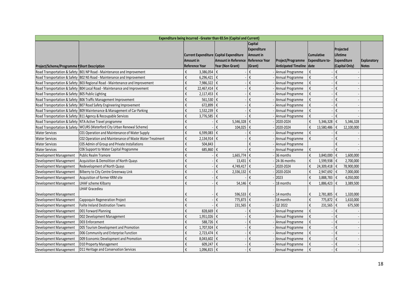| Expenditure being Incurred - Greater than €0.5m (Capital and Current) |                                                                              |                                                      |                            |                                                              |                             |                                             |                                             |                    |  |
|-----------------------------------------------------------------------|------------------------------------------------------------------------------|------------------------------------------------------|----------------------------|--------------------------------------------------------------|-----------------------------|---------------------------------------------|---------------------------------------------|--------------------|--|
|                                                                       |                                                                              | Current Expenditure Capital Expenditure<br>Amount in | <b>Amount in Reference</b> | Capital<br>Expenditure<br>Amount in<br><b>Reference Year</b> | Project/Programme           | <b>Cumulative</b><br><b>Expenditure to-</b> | Projected<br>Lifetime<br><b>Expenditure</b> | <b>Explanatory</b> |  |
| Project/Scheme/Programme IShort Description                           |                                                                              | <b>Reference Year</b>                                | Year (Non Grant)           | (Grant)                                                      | <b>Anticipated Timeline</b> | date                                        | (Capital Only)                              | Notes              |  |
|                                                                       | Road Transportation & Safety B01 NP Road - Maintenance and Improvement       | 3,386,054<br>€                                       | €                          | €                                                            | Annual Programme            | €                                           | €                                           |                    |  |
|                                                                       | Road Transportation & Safety B02 NS Road - Maintenance and Improvement       | €<br>$6,296,421$ €                                   |                            | €                                                            | Annual Programme            | €                                           | €                                           |                    |  |
|                                                                       | Road Transportation & Safety B03 Regional Road - Maintenance and Improvement | €<br>7,986,322                                       | ∣€                         | €                                                            | Annual Programme            | €                                           | $\boldsymbol{\epsilon}$                     |                    |  |
|                                                                       | Road Transportation & Safety B04 Local Road - Maintenance and Improvement    | €<br>22,467,414                                      | €                          | $\boldsymbol{\epsilon}$                                      | Annual Programme            | €                                           | $\boldsymbol{\epsilon}$                     |                    |  |
| Road Transportation & Safety B05 Public Lighting                      |                                                                              | €<br>$2,117,453$ €                                   |                            | €                                                            | - Annual Programme          | €                                           | €                                           |                    |  |
|                                                                       | Road Transportation & Safety B06 Traffic Management Improvement              | €<br>561,530                                         | €                          | €                                                            | Annual Programme            | €                                           | €                                           |                    |  |
|                                                                       | Road Transportation & Safety B07 Road Safety Engineering Improvement         | €<br>672.899                                         | €                          | €                                                            | Annual Programme            | €                                           | €                                           |                    |  |
|                                                                       | Road Transportation & Safety B09 Maintenance & Management of Car Parking     | €<br>1,532,239                                       | €                          | €                                                            | Annual Programme            | €                                           | €                                           |                    |  |
|                                                                       | Road Transportation & Safety B11 Agency & Recoupable Services                | €<br>3,776,585                                       | €                          | €                                                            | Annual Programme            | €                                           | €                                           |                    |  |
|                                                                       | Road Transportation & Safety NTA Active Travel programme                     | €                                                    | 5,346,328<br>€             | $\epsilon$                                                   | 2020-2024                   | €<br>5,346,328                              | $\epsilon$<br>5,346,328                     |                    |  |
|                                                                       | Road Transportation & Safety   WCURS (Waterford City Urban Renewal Scheme)   | €                                                    | €<br>104,025               | $\boldsymbol{\mathfrak{t}}$                                  | 2020-2024                   | €<br>13,580,486                             | €<br>12,100,000                             |                    |  |
| <b>Water Services</b>                                                 | C01 Operation and Maintenance of Water Supply                                | €<br>6,599,083                                       | €                          | €                                                            | Annual Programme            | €                                           | €                                           |                    |  |
| <b>Water Services</b>                                                 | C02 Operation and Maintenance of Waste Water Treatment                       | €<br>2,134,914                                       | €                          | €                                                            | Annual Programme            | €                                           | €                                           |                    |  |
| <b>Water Services</b>                                                 | C05 Admin of Group and Private Installations                                 | €<br>504,843                                         |                            | €                                                            | Annual Programme            |                                             | €                                           |                    |  |
| <b>Water Services</b>                                                 | C06 Support to Water Capital Programme                                       | €<br>685,860                                         | ∣€                         | €                                                            | - Annual Programme          | €                                           | €                                           |                    |  |
| Development Management                                                | <b>Public Realm Tramore</b>                                                  | €                                                    | €<br>1,665,774             | ∣€                                                           | 36 months                   | €<br>3,840,000                              | 1,600,000<br>€                              |                    |  |
| Development Management                                                | Acquisition & Demolition of North Quays                                      | €                                                    | €<br>13,431                | $\epsilon$                                                   | 24-36 months                | €<br>1,599,938                              | 2,700,000<br>∣€                             |                    |  |
| Development Management                                                | Redevelopment of North Quays                                                 | €                                                    | €                          |                                                              | 2020-2024                   | €<br>24,309,418                             | 78,900,000<br>∣€                            |                    |  |
| Development Management                                                | Bilberry to City Centre Greenway Link                                        | €                                                    | €<br>2,336,132             | $\epsilon$                                                   | 2020-2024                   | €<br>2,947,692   €                          | 7,000,000                                   |                    |  |
| Development Management                                                | Acquisition of former KRM site                                               | €                                                    | €                          | €                                                            | 2023                        | €<br>3,888,783 $\epsilon$                   | 4,050,000                                   |                    |  |
| Development Management                                                | LIHAF scheme Kilbarry                                                        | €                                                    | €<br>54,146                | $\epsilon$                                                   | 18 months                   | €<br>1,886,423 €                            | 3,389,500                                   |                    |  |
|                                                                       | <b>LIHAF Gracedieu</b>                                                       |                                                      |                            |                                                              |                             |                                             |                                             |                    |  |
| Development Management                                                |                                                                              | €                                                    | 596,533 €<br>€             |                                                              | - 14 months                 | €<br>2,781,805                              | 1,320,000<br>$\vert \epsilon$               |                    |  |
| Development Management                                                | Cappoquin Regeneration Project                                               | €                                                    | €<br>775,873 €             |                                                              | 18 months                   | €<br>775,872 €                              | 1,610,000                                   |                    |  |
| Development Management                                                | <b>Failte Ireland Destination Towns</b>                                      | €                                                    | €<br>231,565 $\epsilon$    |                                                              | Q2 2022                     | €<br>231,565 $\epsilon$                     | 675,500                                     |                    |  |
| Development Management                                                | D01 Forward Planning                                                         | €<br>828,669                                         | $\epsilon$                 | €                                                            | Annual Programme            | €                                           | €                                           |                    |  |
| Development Management                                                | D02 Development Management                                                   | €<br>1,951,026                                       | ∣€                         | €                                                            | Annual Programme            | €                                           | €                                           |                    |  |
| Development Management                                                | D03 Enforcement                                                              | €<br>588,726 €                                       |                            | €                                                            | Annual Programme            | €                                           | €                                           |                    |  |
| Development Management                                                | D05 Tourism Development and Promotion                                        | €<br>1,707,924                                       | €                          | €                                                            | Annual Programme            | €                                           | €                                           |                    |  |
| Development Management                                                | D06 Community and Enterprise Function                                        | €<br>2,723,474                                       | €                          | $\boldsymbol{\epsilon}$                                      | Annual Programme            | €                                           | €                                           |                    |  |
| Development Management                                                | D09 Economic Development and Promotion                                       | €<br>8,043,602                                       | €                          | $\boldsymbol{\epsilon}$                                      | Annual Programme            | €                                           | €                                           |                    |  |
| Development Management                                                | D10 Property Management                                                      | €<br>609,247                                         | €                          | €                                                            | Annual Programme            | €                                           | €                                           |                    |  |
| Development Management                                                | D11 Heritage and Conservation Services                                       | €<br>1,096,815 €                                     |                            | €                                                            | Annual Programme            | €                                           | $\epsilon$                                  |                    |  |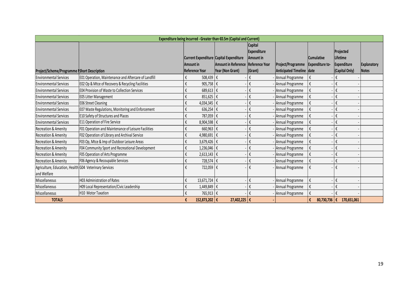|                                                                       |                                                      |                                                                               | Expenditure being Incurred - Greater than €0.5m (Capital and Current) |                                                                         |                                                |                                             |                                                        |                                    |
|-----------------------------------------------------------------------|------------------------------------------------------|-------------------------------------------------------------------------------|-----------------------------------------------------------------------|-------------------------------------------------------------------------|------------------------------------------------|---------------------------------------------|--------------------------------------------------------|------------------------------------|
| Project/Scheme/Programme Short Description                            |                                                      | Current Expenditure Capital Expenditure<br>Amount in<br><b>Reference Year</b> | Amount in Reference<br>Year (Non Grant)                               | <b>Capital</b><br>Expenditure<br>Amount in<br>Reference Year<br>(Grant) | Project/Programme<br>Anticipated Timeline date | <b>Cumulative</b><br><b>Expenditure to-</b> | Projected<br>Lifetime<br>Expenditure<br>(Capital Only) | <b>Explanatory</b><br><b>Notes</b> |
| <b>Environmental Services</b>                                         | E01 Operation, Maintenance and Aftercare of Landfill | 508,439 €<br>$\boldsymbol{\mathfrak{t}}$                                      |                                                                       | $\boldsymbol{\mathfrak{t}}$                                             | Annual Programme                               | $\boldsymbol{\epsilon}$                     | €                                                      |                                    |
| <b>Environmental Services</b>                                         | E02 Op & Mtce of Recovery & Recycling Facilities     | $\boldsymbol{\mathfrak{t}}$<br>905,758 €                                      |                                                                       | $\mathfrak{k}$                                                          | Annual Programme                               | $\mathfrak{k}$                              | $\boldsymbol{\epsilon}$                                |                                    |
| <b>Environmental Services</b>                                         | <b>E04 Provision of Waste to Collection Services</b> | $\boldsymbol{\mathfrak{t}}$<br>689,613 $\varepsilon$                          |                                                                       | $\boldsymbol{\mathfrak{t}}$                                             | Annual Programme                               | $\mathfrak{k}$                              | $\boldsymbol{\mathfrak{t}}$                            |                                    |
| <b>Environmental Services</b>                                         | <b>E05 Litter Management</b>                         | $\boldsymbol{\mathfrak{t}}$<br>851,625 €                                      |                                                                       | $\boldsymbol{\mathfrak{t}}$                                             | Annual Programme                               | $\mathfrak{k}$                              | $\boldsymbol{\mathfrak{t}}$                            |                                    |
| <b>Environmental Services</b>                                         | <b>E06 Street Cleaning</b>                           | $\boldsymbol{\mathfrak{t}}$<br>4,034,345 $\epsilon$                           |                                                                       | $\boldsymbol{\mathfrak{t}}$                                             | Annual Programme                               | $\mathfrak{k}$                              | $\boldsymbol{\mathfrak{t}}$                            |                                    |
| <b>Environmental Services</b>                                         | E07 Waste Regulations, Monitoring and Enforcement    | $\boldsymbol{\mathfrak{t}}$<br>636,254 $\epsilon$                             |                                                                       | $\boldsymbol{\mathfrak{t}}$                                             | Annual Programme                               | $\mathfrak{k}$                              | $\boldsymbol{\mathfrak{t}}$                            |                                    |
| <b>Environmental Services</b>                                         | <b>E10 Safety of Structures and Places</b>           | $\boldsymbol{\mathfrak{t}}$<br>787,059 €                                      |                                                                       | $\mathfrak{k}$                                                          | Annual Programme                               | $\mathfrak{k}$                              | $\boldsymbol{\mathfrak{t}}$                            |                                    |
| <b>Environmental Services</b>                                         | E11 Operation of Fire Service                        | $\boldsymbol{\epsilon}$<br>$8,904,598$ €                                      |                                                                       | €                                                                       | Annual Programme                               | €                                           | $\boldsymbol{\mathfrak{t}}$                            |                                    |
| <b>Recreation &amp; Amenity</b>                                       | F01 Operation and Maintenance of Leisure Facilities  | $\boldsymbol{\mathfrak{t}}$<br>$660,963$ $\varepsilon$                        |                                                                       | $\mathfrak{k}$                                                          | Annual Programme                               | €                                           | $\boldsymbol{\mathfrak{t}}$                            |                                    |
| <b>Recreation &amp; Amenity</b>                                       | F02 Operation of Library and Archival Service        | $\boldsymbol{\mathfrak{t}}$<br>4,980,691 $\epsilon$                           |                                                                       | $\boldsymbol{\mathfrak{t}}$                                             | Annual Programme                               | €                                           | $\boldsymbol{\mathfrak{t}}$                            |                                    |
| <b>Recreation &amp; Amenity</b>                                       | F03 Op, Mtce & Imp of Outdoor Leisure Areas          | $\boldsymbol{\mathfrak{t}}$<br>3,679,426 $\varepsilon$                        |                                                                       | $\boldsymbol{\mathfrak{t}}$                                             | Annual Programme                               | $\mathfrak{k}$                              | $\boldsymbol{\mathfrak{t}}$                            |                                    |
| <b>Recreation &amp; Amenity</b>                                       | F04 Community Sport and Recreational Development     | $\boldsymbol{\mathfrak{t}}$<br>$1,236,046$ €                                  |                                                                       | $\boldsymbol{\mathfrak{t}}$                                             | - Annual Programme                             | $\mathfrak{k}$                              | $\mathfrak{t}$                                         |                                    |
| <b>Recreation &amp; Amenity</b>                                       | F05 Operation of Arts Programme                      | $\boldsymbol{\mathfrak{t}}$<br>$2,613,143$ €                                  |                                                                       | $\boldsymbol{\mathfrak{t}}$                                             | - Annual Programme                             | $\mathfrak{k}$                              | $\boldsymbol{\mathfrak{t}}$                            |                                    |
| <b>Recreation &amp; Amenity</b>                                       | F06 Agency & Recoupable Services                     | $\boldsymbol{\epsilon}$<br>728,574 €                                          |                                                                       | $\boldsymbol{\mathfrak{t}}$                                             | - Annual Programme                             | $\mathfrak{k}$                              | $\boldsymbol{\mathfrak{t}}$                            |                                    |
| Agriculture, Education, Health G04 Veterinary Services<br>and Welfare |                                                      | $\boldsymbol{\mathfrak{t}}$<br>722,059 €                                      |                                                                       | $\boldsymbol{\mathfrak{t}}$                                             | - Annual Programme                             | $\mathfrak{k}$                              | $\boldsymbol{\mathfrak{t}}$                            |                                    |
| Miscellaneous                                                         | H03 Administration of Rates                          | $\boldsymbol{\mathfrak{t}}$<br>13,671,724 $ €$                                |                                                                       | $\boldsymbol{\mathfrak{t}}$                                             | Annual Programme                               | $\mathfrak{k}$                              | $\mathfrak{k}$                                         |                                    |
| Miscellaneous                                                         | H09 Local Representation/Civic Leadership            | $\boldsymbol{\mathfrak{t}}$<br>1,449,849 €                                    |                                                                       | $\boldsymbol{\mathfrak{t}}$                                             | Annual Programme                               | $\mathfrak{k}$                              | $\boldsymbol{\mathfrak{t}}$                            |                                    |
| Miscellaneous                                                         | H10 Motor Taxation                                   | $\boldsymbol{\mathfrak{t}}$<br>765,913 €                                      |                                                                       | $\mathfrak{t}$                                                          | Annual Programme                               | $\mathfrak{k}$                              | $\boldsymbol{\mathfrak{t}}$                            |                                    |
| <b>TOTALS</b>                                                         |                                                      | 152,873,202 €<br>€                                                            | 27,402,225 €                                                          |                                                                         |                                                | €                                           | 80,730,736 € 170,651,061                               |                                    |
|                                                                       |                                                      |                                                                               |                                                                       |                                                                         |                                                |                                             |                                                        |                                    |
|                                                                       |                                                      |                                                                               |                                                                       |                                                                         |                                                |                                             |                                                        | 19                                 |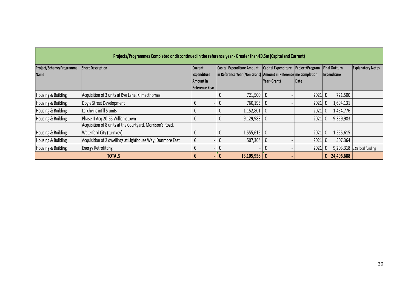| Project/Scheme/Programme<br>Name | <b>Short Description</b>                                                              | <b>Current</b><br>Expenditure<br>Amount in<br>Reference Year |                             | Capital Expenditure Amount<br>in Reference Year (Non Grant) Amount in Reference me Completion | Capital Expenditure<br>Year (Grant) | Project/Program<br>Date |   | <b>Final Outturn</b><br>Expenditure | <b>Explanatory Notes</b> |
|----------------------------------|---------------------------------------------------------------------------------------|--------------------------------------------------------------|-----------------------------|-----------------------------------------------------------------------------------------------|-------------------------------------|-------------------------|---|-------------------------------------|--------------------------|
| Housing & Building               | Acquisition of 3 units at Bye Lane, Kilmacthomas                                      |                                                              | $\boldsymbol{\mathfrak{t}}$ | 721,500 €                                                                                     |                                     | $2021 \in$              |   | 721,500                             |                          |
| Housing & Building               | Doyle Street Development                                                              | €                                                            | $\boldsymbol{\mathfrak{t}}$ | 760,195 €                                                                                     |                                     | $2021 \in$              |   | 1,694,131                           |                          |
| Housing & Building               | Larchville infill 5 units                                                             | €                                                            | €                           | $1,152,801$ €                                                                                 |                                     | $2021 \text{ } \in$     |   | 1,454,776                           |                          |
| Housing & Building               | Phase II Acq 20-65 Williamstown                                                       | €<br>$\overline{\phantom{a}}$                                | $\boldsymbol{\mathfrak{t}}$ | 9,129,983                                                                                     | $\mathfrak{k}$                      | $2021 \text{ } \in$     |   | 9,359,983                           |                          |
| Housing & Building               | Acquisition of 8 units at the Courtyard, Morrison's Road,<br>Waterford City (turnkey) | €<br>$\overline{\phantom{a}}$                                | $\boldsymbol{\mathfrak{t}}$ | $1,555,615$ €                                                                                 |                                     | $2021 \in$              |   | 1,555,615                           |                          |
| Housing & Building               | Acquisition of 2 dwellings at Lighthouse Way, Dunmore East                            | $\mathfrak{k}$<br>$\qquad \qquad \blacksquare$               | $\boldsymbol{\mathfrak{t}}$ | 507,364                                                                                       | $\mathbf{f}$                        | $2021 \text{ } \in$     |   | 507,364                             |                          |
| Housing & Building               | <b>Energy Retrofitting</b>                                                            | €                                                            | $\boldsymbol{\mathfrak{t}}$ |                                                                                               | €                                   | $2021 \text{ } \in$     |   | 9,203,318                           | 32% local funding        |
|                                  | <b>TOTALS</b>                                                                         | €<br>$\blacksquare$                                          | $\pmb{\epsilon}$            | 13,105,958 $\in$                                                                              |                                     |                         | € | 24,496,688                          |                          |
|                                  |                                                                                       |                                                              |                             |                                                                                               |                                     |                         |   |                                     |                          |
|                                  |                                                                                       |                                                              |                             |                                                                                               |                                     |                         |   |                                     | 20                       |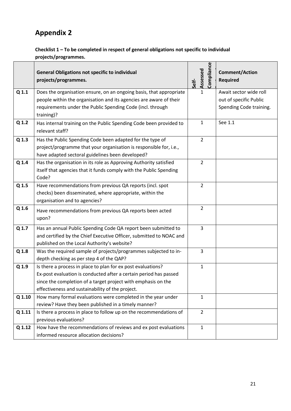# **Appendix 2**

#### **Checklist 1 – To be completed in respect of general obligations not specific to individual projects/programmes.**

|                  | <b>General Obligations not specific to individual</b><br>projects/programmes.         | Compliance<br>Assessed<br>Self- | <b>Comment/Action</b><br><b>Required</b> |
|------------------|---------------------------------------------------------------------------------------|---------------------------------|------------------------------------------|
| Q <sub>1.1</sub> | Does the organisation ensure, on an ongoing basis, that appropriate                   | $\mathbf{1}$                    | Await sector wide roll                   |
|                  | people within the organisation and its agencies are aware of their                    |                                 | out of specific Public                   |
|                  | requirements under the Public Spending Code (incl. through                            |                                 | Spending Code training.                  |
|                  | training)?                                                                            |                                 |                                          |
| Q 1.2            | Has internal training on the Public Spending Code been provided to<br>relevant staff? | 1                               | See 1.1                                  |
| Q <sub>1.3</sub> | Has the Public Spending Code been adapted for the type of                             | $\overline{2}$                  |                                          |
|                  | project/programme that your organisation is responsible for, i.e.,                    |                                 |                                          |
|                  | have adapted sectoral guidelines been developed?                                      |                                 |                                          |
| Q 1.4            | Has the organisation in its role as Approving Authority satisfied                     | $\overline{2}$                  |                                          |
|                  | itself that agencies that it funds comply with the Public Spending                    |                                 |                                          |
|                  | Code?                                                                                 |                                 |                                          |
| Q 1.5            | Have recommendations from previous QA reports (incl. spot                             | $\overline{2}$                  |                                          |
|                  | checks) been disseminated, where appropriate, within the                              |                                 |                                          |
|                  | organisation and to agencies?                                                         |                                 |                                          |
| Q 1.6            | Have recommendations from previous QA reports been acted                              | $\overline{2}$                  |                                          |
|                  | upon?                                                                                 |                                 |                                          |
| Q 1.7            | Has an annual Public Spending Code QA report been submitted to                        | 3                               |                                          |
|                  | and certified by the Chief Executive Officer, submitted to NOAC and                   |                                 |                                          |
|                  | published on the Local Authority's website?                                           |                                 |                                          |
| Q 1.8            | Was the required sample of projects/programmes subjected to in-                       | 3                               |                                          |
|                  | depth checking as per step 4 of the QAP?                                              |                                 |                                          |
| Q 1.9            | Is there a process in place to plan for ex post evaluations?                          | $\mathbf{1}$                    |                                          |
|                  | Ex-post evaluation is conducted after a certain period has passed                     |                                 |                                          |
|                  | since the completion of a target project with emphasis on the                         |                                 |                                          |
|                  | effectiveness and sustainability of the project.                                      |                                 |                                          |
| Q 1.10           | How many formal evaluations were completed in the year under                          | 1                               |                                          |
|                  | review? Have they been published in a timely manner?                                  |                                 |                                          |
| Q 1.11           | Is there a process in place to follow up on the recommendations of                    | $\overline{2}$                  |                                          |
|                  | previous evaluations?                                                                 |                                 |                                          |
| Q 1.12           | How have the recommendations of reviews and ex post evaluations                       | $\mathbf{1}$                    |                                          |
|                  | informed resource allocation decisions?                                               |                                 |                                          |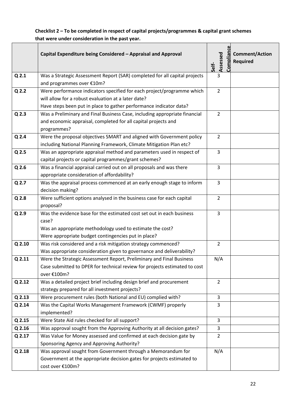**Checklist 2 – To be completed in respect of capital projects/programmes & capital grant schemes that were under consideration in the past year.**

|                  | Capital Expenditure being Considered - Appraisal and Approval                                                                          | Self- | Assessed       | Complian | <b>Comment/Action</b><br><b>Required</b> |
|------------------|----------------------------------------------------------------------------------------------------------------------------------------|-------|----------------|----------|------------------------------------------|
| Q <sub>2.1</sub> | Was a Strategic Assessment Report (SAR) completed for all capital projects                                                             |       | 3              |          |                                          |
|                  | and programmes over €10m?                                                                                                              |       |                |          |                                          |
| Q <sub>2.2</sub> | Were performance indicators specified for each project/programme which                                                                 |       | $\overline{2}$ |          |                                          |
|                  | will allow for a robust evaluation at a later date?                                                                                    |       |                |          |                                          |
|                  | Have steps been put in place to gather performance indicator data?                                                                     |       |                |          |                                          |
| Q <sub>2.3</sub> | Was a Preliminary and Final Business Case, including appropriate financial                                                             |       | $\overline{2}$ |          |                                          |
|                  | and economic appraisal, completed for all capital projects and                                                                         |       |                |          |                                          |
|                  | programmes?                                                                                                                            |       |                |          |                                          |
| Q <sub>2.4</sub> | Were the proposal objectives SMART and aligned with Government policy                                                                  |       | $\overline{2}$ |          |                                          |
|                  | including National Planning Framework, Climate Mitigation Plan etc?                                                                    |       |                |          |                                          |
| Q <sub>2.5</sub> | Was an appropriate appraisal method and parameters used in respect of                                                                  |       | 3              |          |                                          |
|                  | capital projects or capital programmes/grant schemes?                                                                                  |       |                |          |                                          |
| Q <sub>2.6</sub> | Was a financial appraisal carried out on all proposals and was there                                                                   |       | 3              |          |                                          |
|                  | appropriate consideration of affordability?                                                                                            |       |                |          |                                          |
| Q <sub>2.7</sub> | Was the appraisal process commenced at an early enough stage to inform                                                                 |       | 3              |          |                                          |
|                  | decision making?                                                                                                                       |       |                |          |                                          |
| Q <sub>2.8</sub> | Were sufficient options analysed in the business case for each capital                                                                 |       | $\overline{2}$ |          |                                          |
|                  | proposal?                                                                                                                              |       |                |          |                                          |
| Q <sub>2.9</sub> | Was the evidence base for the estimated cost set out in each business                                                                  |       | 3              |          |                                          |
|                  | case?                                                                                                                                  |       |                |          |                                          |
|                  | Was an appropriate methodology used to estimate the cost?<br>Were appropriate budget contingencies put in place?                       |       |                |          |                                          |
|                  |                                                                                                                                        |       |                |          |                                          |
| Q 2.10           | Was risk considered and a risk mitigation strategy commenced?<br>Was appropriate consideration given to governance and deliverability? |       | 2              |          |                                          |
| Q 2.11           | Were the Strategic Assessment Report, Preliminary and Final Business                                                                   |       | N/A            |          |                                          |
|                  | Case submitted to DPER for technical review for projects estimated to cost                                                             |       |                |          |                                          |
|                  | over €100m?                                                                                                                            |       |                |          |                                          |
| $Q$ 2.12         | Was a detailed project brief including design brief and procurement                                                                    |       | $\overline{2}$ |          |                                          |
|                  | strategy prepared for all investment projects?                                                                                         |       |                |          |                                          |
| $Q$ 2.13         | Were procurement rules (both National and EU) complied with?                                                                           |       | 3              |          |                                          |
| Q 2.14           | Was the Capital Works Management Framework (CWMF) properly                                                                             |       | 3              |          |                                          |
|                  | implemented?                                                                                                                           |       |                |          |                                          |
| Q 2.15           | Were State Aid rules checked for all support?                                                                                          |       | 3              |          |                                          |
| Q 2.16           | Was approval sought from the Approving Authority at all decision gates?                                                                |       | 3              |          |                                          |
| Q 2.17           | Was Value for Money assessed and confirmed at each decision gate by                                                                    |       | $\overline{2}$ |          |                                          |
|                  | Sponsoring Agency and Approving Authority?                                                                                             |       |                |          |                                          |
| $Q$ 2.18         | Was approval sought from Government through a Memorandum for                                                                           |       | N/A            |          |                                          |
|                  | Government at the appropriate decision gates for projects estimated to                                                                 |       |                |          |                                          |
|                  | cost over €100m?                                                                                                                       |       |                |          |                                          |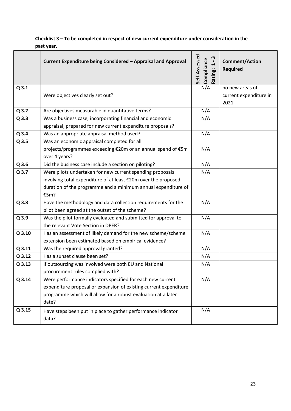#### **Checklist 3 – To be completed in respect of new current expenditure under consideration in the past year.**

|                  | Current Expenditure being Considered - Appraisal and Approval                                                                                                                                             | Self-Assessed<br>m<br>Compliance<br>$\blacksquare$<br>$\blacktriangleright$<br>Rating: | <b>Comment/Action</b><br><b>Required</b> |
|------------------|-----------------------------------------------------------------------------------------------------------------------------------------------------------------------------------------------------------|----------------------------------------------------------------------------------------|------------------------------------------|
| Q3.1             |                                                                                                                                                                                                           | N/A                                                                                    | no new areas of                          |
|                  | Were objectives clearly set out?                                                                                                                                                                          |                                                                                        | current expenditure in<br>2021           |
| $Q$ 3.2          | Are objectives measurable in quantitative terms?                                                                                                                                                          | N/A                                                                                    |                                          |
| $Q$ 3.3          | Was a business case, incorporating financial and economic                                                                                                                                                 | N/A                                                                                    |                                          |
|                  | appraisal, prepared for new current expenditure proposals?                                                                                                                                                |                                                                                        |                                          |
| $Q$ 3.4          | Was an appropriate appraisal method used?                                                                                                                                                                 | N/A                                                                                    |                                          |
| $Q$ 3.5          | Was an economic appraisal completed for all<br>projects/programmes exceeding €20m or an annual spend of €5m<br>over 4 years?                                                                              | N/A                                                                                    |                                          |
| $Q$ 3.6          | Did the business case include a section on piloting?                                                                                                                                                      | N/A                                                                                    |                                          |
| Q <sub>3.7</sub> | Were pilots undertaken for new current spending proposals<br>involving total expenditure of at least €20m over the proposed<br>duration of the programme and a minimum annual expenditure of<br>€5m?      | N/A                                                                                    |                                          |
| Q 3.8            | Have the methodology and data collection requirements for the                                                                                                                                             | N/A                                                                                    |                                          |
|                  | pilot been agreed at the outset of the scheme?                                                                                                                                                            |                                                                                        |                                          |
| Q 3.9            | Was the pilot formally evaluated and submitted for approval to<br>the relevant Vote Section in DPER?                                                                                                      | N/A                                                                                    |                                          |
| Q 3.10           | Has an assessment of likely demand for the new scheme/scheme<br>extension been estimated based on empirical evidence?                                                                                     | N/A                                                                                    |                                          |
| Q 3.11           | Was the required approval granted?                                                                                                                                                                        | N/A                                                                                    |                                          |
| Q 3.12           | Has a sunset clause been set?                                                                                                                                                                             | N/A                                                                                    |                                          |
| Q 3.13           | If outsourcing was involved were both EU and National                                                                                                                                                     | N/A                                                                                    |                                          |
|                  | procurement rules complied with?                                                                                                                                                                          |                                                                                        |                                          |
| Q 3.14           | Were performance indicators specified for each new current<br>expenditure proposal or expansion of existing current expenditure<br>programme which will allow for a robust evaluation at a later<br>date? | N/A                                                                                    |                                          |
| Q 3.15           | Have steps been put in place to gather performance indicator<br>data?                                                                                                                                     | N/A                                                                                    |                                          |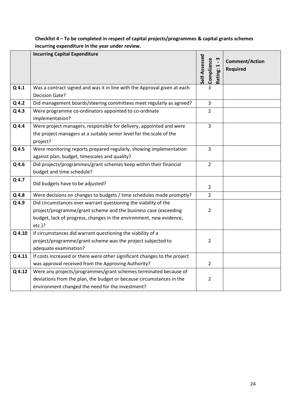|                  | <b>Incurring Capital Expenditure</b>                                                                                                                                                                                   | Self-Assessed | Compliance     | m<br>$\blacksquare$<br>Rating: 1 | <b>Comment/Action</b><br><b>Required</b> |
|------------------|------------------------------------------------------------------------------------------------------------------------------------------------------------------------------------------------------------------------|---------------|----------------|----------------------------------|------------------------------------------|
| $Q$ 4.1          | Was a contract signed and was it in line with the Approval given at each<br>Decision Gate?                                                                                                                             |               | 3              |                                  |                                          |
| $Q$ 4.2          | Did management boards/steering committees meet regularly as agreed?                                                                                                                                                    |               | $\overline{3}$ |                                  |                                          |
| $Q$ 4.3          | Were programme co-ordinators appointed to co-ordinate<br>implementation?                                                                                                                                               |               | $\overline{2}$ |                                  |                                          |
| $Q$ 4.4          | Were project managers, responsible for delivery, appointed and were<br>the project managers at a suitably senior level for the scale of the<br>project?                                                                |               | $\overline{3}$ |                                  |                                          |
| Q <sub>4.5</sub> | Were monitoring reports prepared regularly, showing implementation<br>against plan, budget, timescales and quality?                                                                                                    |               | $\overline{3}$ |                                  |                                          |
| Q 4.6            | Did projects/programmes/grant schemes keep within their financial<br>budget and time schedule?                                                                                                                         |               | $\overline{2}$ |                                  |                                          |
| Q 4.7            | Did budgets have to be adjusted?                                                                                                                                                                                       |               | $\overline{2}$ |                                  |                                          |
| $Q$ 4.8          | Were decisions on changes to budgets / time schedules made promptly?                                                                                                                                                   |               | $\overline{2}$ |                                  |                                          |
| Q 4.9            | Did circumstances ever warrant questioning the viability of the<br>project/programme/grant scheme and the business case (exceeding<br>budget, lack of progress, changes in the environment, new evidence,<br>$etc.$ )? |               | $\overline{2}$ |                                  |                                          |
| Q 4.10           | If circumstances did warrant questioning the viability of a<br>project/programme/grant scheme was the project subjected to<br>adequate examination?                                                                    |               | $\overline{2}$ |                                  |                                          |
| Q 4.11           | If costs increased or there were other significant changes to the project<br>was approval received from the Approving Authority?                                                                                       |               | $\overline{2}$ |                                  |                                          |
| Q 4.12           | Were any projects/programmes/grant schemes terminated because of<br>deviations from the plan, the budget or because circumstances in the<br>environment changed the need for the investment?                           |               | 2              |                                  |                                          |

#### **Checklist 4 – To be completed in respect of capital projects/programmes & capital grants schemes incurring expenditure in the year under review.**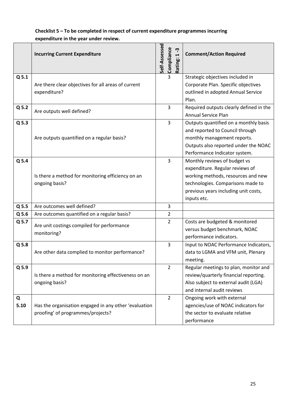|                  | <b>Incurring Current Expenditure</b>                                                       | Self-Assessed<br>Compliance<br>ņ<br>$\blacksquare$<br>Rating: | <b>Comment/Action Required</b>                                                                                                                                                                    |
|------------------|--------------------------------------------------------------------------------------------|---------------------------------------------------------------|---------------------------------------------------------------------------------------------------------------------------------------------------------------------------------------------------|
| Q <sub>5.1</sub> | Are there clear objectives for all areas of current<br>expenditure?                        | 3                                                             | Strategic objectives included in<br>Corporate Plan. Specific objectives<br>outlined in adopted Annual Service<br>Plan.                                                                            |
| $Q$ 5.2          | Are outputs well defined?                                                                  | 3                                                             | Required outputs clearly defined in the<br><b>Annual Service Plan</b>                                                                                                                             |
| Q 5.3            | Are outputs quantified on a regular basis?                                                 | 3                                                             | Outputs quantified on a monthly basis<br>and reported to Council through<br>monthly management reports.<br>Outputs also reported under the NOAC<br>Performance Indicator system.                  |
| $Q$ 5.4          | Is there a method for monitoring efficiency on an<br>ongoing basis?                        | 3                                                             | Monthly reviews of budget vs<br>expenditure. Regular reviews of<br>working methods, resources and new<br>technologies. Comparisons made to<br>previous years including unit costs,<br>inputs etc. |
| $Q$ 5.5          | Are outcomes well defined?                                                                 | 3                                                             |                                                                                                                                                                                                   |
| $Q$ 5.6          | Are outcomes quantified on a regular basis?                                                | $\overline{2}$                                                |                                                                                                                                                                                                   |
| Q 5.7            | Are unit costings compiled for performance<br>monitoring?                                  | $\overline{2}$                                                | Costs are budgeted & monitored<br>versus budget benchmark, NOAC<br>performance indicators.                                                                                                        |
| Q 5.8            | Are other data complied to monitor performance?                                            | 3                                                             | Input to NOAC Performance Indicators,<br>data to LGMA and VFM unit, Plenary<br>meeting.                                                                                                           |
| Q 5.9            | Is there a method for monitoring effectiveness on an<br>ongoing basis?                     | $\overline{2}$                                                | Regular meetings to plan, monitor and<br>review/quarterly financial reporting.<br>Also subject to external audit (LGA)<br>and internal audit reviews                                              |
| Q<br>5.10        | Has the organisation engaged in any other 'evaluation<br>proofing' of programmes/projects? | $\overline{2}$                                                | Ongoing work with external<br>agencies/use of NOAC indicators for<br>the sector to evaluate relative<br>performance                                                                               |

#### **Checklist 5 – To be completed in respect of current expenditure programmes incurring expenditure in the year under review.**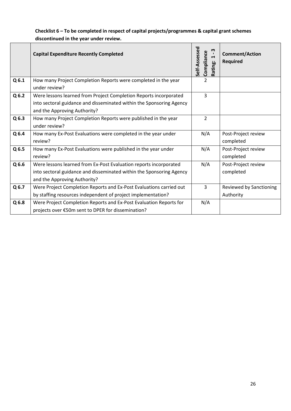#### **Checklist 6 – To be completed in respect of capital projects/programmes & capital grant schemes discontinued in the year under review.**

|                  | <b>Capital Expenditure Recently Completed</b>                        | Self-Assessed<br>w<br>Compliance<br>$\blacksquare$<br>Rating: | <b>Comment/Action</b><br><b>Required</b> |
|------------------|----------------------------------------------------------------------|---------------------------------------------------------------|------------------------------------------|
| Q6.1             | How many Project Completion Reports were completed in the year       | $\overline{2}$                                                |                                          |
|                  | under review?                                                        |                                                               |                                          |
| Q6.2             | Were lessons learned from Project Completion Reports incorporated    | 3                                                             |                                          |
|                  | into sectoral guidance and disseminated within the Sponsoring Agency |                                                               |                                          |
|                  | and the Approving Authority?                                         |                                                               |                                          |
| Q6.3             | How many Project Completion Reports were published in the year       | $\overline{2}$                                                |                                          |
|                  | under review?                                                        |                                                               |                                          |
| Q <sub>6.4</sub> | How many Ex-Post Evaluations were completed in the year under        | N/A                                                           | Post-Project review                      |
|                  | review?                                                              |                                                               | completed                                |
| Q <sub>6.5</sub> | How many Ex-Post Evaluations were published in the year under        | N/A                                                           | Post-Project review                      |
|                  | review?                                                              |                                                               | completed                                |
| Q6.6             | Were lessons learned from Ex-Post Evaluation reports incorporated    | N/A                                                           | Post-Project review                      |
|                  | into sectoral guidance and disseminated within the Sponsoring Agency |                                                               | completed                                |
|                  | and the Approving Authority?                                         |                                                               |                                          |
| Q6.7             | Were Project Completion Reports and Ex-Post Evaluations carried out  | 3                                                             | Reviewed by Sanctioning                  |
|                  | by staffing resources independent of project implementation?         |                                                               | Authority                                |
| Q <sub>6.8</sub> | Were Project Completion Reports and Ex-Post Evaluation Reports for   | N/A                                                           |                                          |
|                  | projects over €50m sent to DPER for dissemination?                   |                                                               |                                          |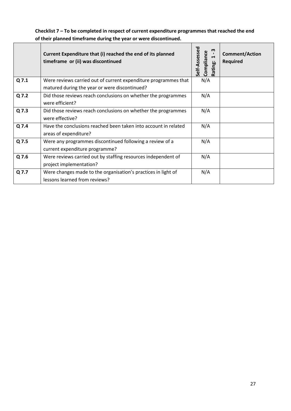**Checklist 7 – To be completed in respect of current expenditure programmes that reached the end of their planned timeframe during the year or were discontinued.**

|       | Current Expenditure that (i) reached the end of its planned<br>timeframe or (ii) was discontinued | Self-Assessed<br>m<br>Compliance<br>$\blacktriangleright$<br>Rating: | <b>Comment/Action</b><br>Required |
|-------|---------------------------------------------------------------------------------------------------|----------------------------------------------------------------------|-----------------------------------|
| Q 7.1 | Were reviews carried out of current expenditure programmes that                                   | N/A                                                                  |                                   |
|       | matured during the year or were discontinued?                                                     |                                                                      |                                   |
| Q 7.2 | Did those reviews reach conclusions on whether the programmes                                     | N/A                                                                  |                                   |
|       | were efficient?                                                                                   |                                                                      |                                   |
| Q 7.3 | Did those reviews reach conclusions on whether the programmes                                     | N/A                                                                  |                                   |
|       | were effective?                                                                                   |                                                                      |                                   |
| Q 7.4 | Have the conclusions reached been taken into account in related                                   | N/A                                                                  |                                   |
|       | areas of expenditure?                                                                             |                                                                      |                                   |
| Q 7.5 | Were any programmes discontinued following a review of a                                          | N/A                                                                  |                                   |
|       | current expenditure programme?                                                                    |                                                                      |                                   |
| Q 7.6 | Were reviews carried out by staffing resources independent of                                     | N/A                                                                  |                                   |
|       | project implementation?                                                                           |                                                                      |                                   |
| Q 7.7 | Were changes made to the organisation's practices in light of                                     | N/A                                                                  |                                   |
|       | lessons learned from reviews?                                                                     |                                                                      |                                   |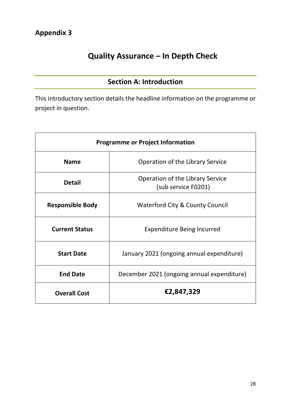# **Quality Assurance – In Depth Check**

# **Section A: Introduction**

This introductory section details the headline information on the programme or project in question.

| <b>Programme or Project Information</b> |                                                         |  |  |  |  |  |  |
|-----------------------------------------|---------------------------------------------------------|--|--|--|--|--|--|
| <b>Name</b>                             | Operation of the Library Service                        |  |  |  |  |  |  |
| <b>Detail</b>                           | Operation of the Library Service<br>(sub service F0201) |  |  |  |  |  |  |
| <b>Responsible Body</b>                 | <b>Waterford City &amp; County Council</b>              |  |  |  |  |  |  |
| <b>Current Status</b>                   | <b>Expenditure Being Incurred</b>                       |  |  |  |  |  |  |
| <b>Start Date</b>                       | January 2021 (ongoing annual expenditure)               |  |  |  |  |  |  |
| <b>End Date</b>                         | December 2021 (ongoing annual expenditure)              |  |  |  |  |  |  |
| <b>Overall Cost</b>                     | €2,847,329                                              |  |  |  |  |  |  |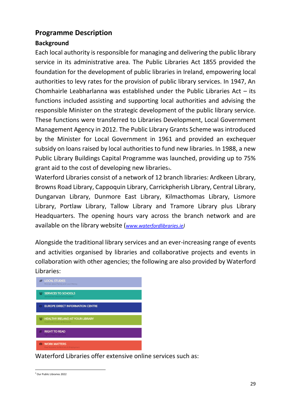### **Programme Description**

### **Background**

Each local authority is responsible for managing and delivering the public library service in its administrative area. The Public Libraries Act 1855 provided the foundation for the development of public libraries in Ireland, empowering local authorities to levy rates for the provision of public library services. In 1947, An Chomhairle Leabharlanna was established under the Public Libraries Act  $-$  its functions included assisting and supporting local authorities and advising the responsible Minister on the strategic development of the public library service. These functions were transferred to Libraries Development, Local Government Management Agency in 2012. The Public Library Grants Scheme was introduced by the Minister for Local Government in 1961 and provided an exchequer subsidy on loans raised by local authorities to fund new libraries. In 1988, a new Public Library Buildings Capital Programme was launched, providing up to 75% grant aid to the cost of developing new librariess.

Waterford Libraries consist of a network of 12 branch libraries: Ardkeen Library, Browns Road Library, Cappoquin Library, Carrickpherish Library, Central Library, Dungarvan Library, Dunmore East Library, Kilmacthomas Library, Lismore Library, Portlaw Library, Tallow Library and Tramore Library plus Library Headquarters. The opening hours vary across the branch network and are available on the library website (*[www.waterfordlibraries.ie\)](http://www.waterfordlibraries.ie/)*

Alongside the traditional library services and an ever-increasing range of events and activities organised by libraries and collaborative projects and events in collaboration with other agencies; the following are also provided by Waterford Libraries:



Waterford Libraries offer extensive online services such as:

<sup>3</sup> Our Public Libraries 2022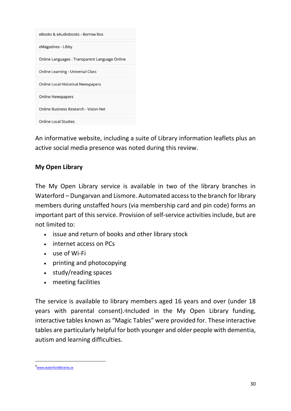| eBooks & eAudiobooks - Borrow Box              |
|------------------------------------------------|
| eMagazines - Libby                             |
| Online Languages - Transparent Language Online |
| <b>Online Learning - Universal Class</b>       |
| <b>Online Local Historical Newspapers</b>      |
| <b>Online Newspapers</b>                       |
| <b>Online Business Research - Vision-Net</b>   |
| <b>Online Local Studies</b>                    |

An informative website, including a suite of Library information leaflets plus an active social media presence was noted during this review.

### **My Open Library**

The My Open Library service is available in two of the library branches in Waterford – Dungarvan and Lismore. Automated access to the branch for library members during unstaffed hours (via membership card and pin code) forms an important part of this service. Provision of self-service activities include, but are not limited to:

- issue and return of books and other library stock
- internet access on PCs
- use of Wi-Fi
- printing and photocopying
- study/reading spaces
- meeting facilities

The service is available to library members aged 16 years and over (under 18 years with parental consent). **<sup>4</sup>**Included in the My Open Library funding, interactive tables known as "Magic Tables" were provided for. These interactive tables are particularly helpful for both younger and older people with dementia, autism and learning difficulties.

<sup>4</sup>[www.waterfordlibraries.ie](http://www.waterfordlibraries.ie/)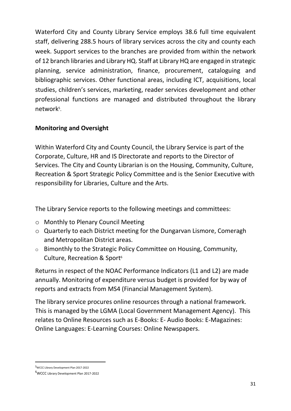Waterford City and County Library Service employs 38.6 full time equivalent staff, delivering 288.5 hours of library services across the city and county each week. Support services to the branches are provided from within the network of 12 branch libraries and Library HQ. Staff at Library HQ are engaged in strategic planning, service administration, finance, procurement, cataloguing and bibliographic services. Other functional areas, including ICT, acquisitions, local studies, children's services, marketing, reader services development and other professional functions are managed and distributed throughout the library network<sup>5</sup>.

#### **Monitoring and Oversight**

Within Waterford City and County Council, the Library Service is part of the Corporate, Culture, HR and IS Directorate and reports to the Director of Services. The City and County Librarian is on the Housing, Community, Culture, Recreation & Sport Strategic Policy Committee and is the Senior Executive with responsibility for Libraries, Culture and the Arts.

The Library Service reports to the following meetings and committees:

- o Monthly to Plenary Council Meeting
- o Quarterly to each District meeting for the Dungarvan Lismore, Comeragh and Metropolitan District areas.
- o Bimonthly to the Strategic Policy Committee on Housing, Community, Culture, Recreation & Sport<sup>6</sup>

Returns in respect of the NOAC Performance Indicators (L1 and L2) are made annually. Monitoring of expenditure versus budget is provided for by way of reports and extracts from MS4 (Financial Management System).

The library service procures online resources through a national framework. This is managed by the LGMA (Local Government Management Agency). This relates to Online Resources such as E-Books: E- Audio Books: E-Magazines: Online Languages: E-Learning Courses: Online Newspapers.

<sup>5</sup>WCCC Library Development Plan 2017-2022

<sup>6</sup>WCCC Library Development Plan 2017-2022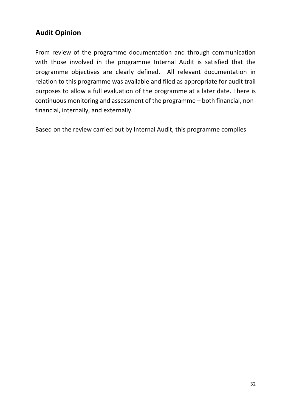# **Audit Opinion**

From review of the programme documentation and through communication with those involved in the programme Internal Audit is satisfied that the programme objectives are clearly defined. All relevant documentation in relation to this programme was available and filed as appropriate for audit trail purposes to allow a full evaluation of the programme at a later date. There is continuous monitoring and assessment of the programme – both financial, nonfinancial, internally, and externally.

Based on the review carried out by Internal Audit, this programme complies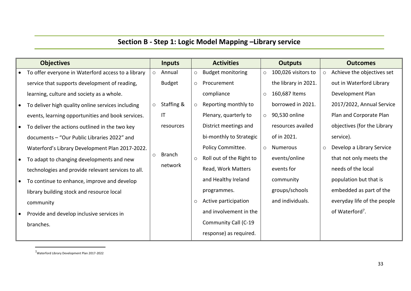# **Section B - Step 1: Logic Model Mapping –Library service**

|           | <b>Objectives</b>                                  |         | <b>Inputs</b>          |         | <b>Activities</b>        |         | <b>Outputs</b>       |         | <b>Outcomes</b>             |
|-----------|----------------------------------------------------|---------|------------------------|---------|--------------------------|---------|----------------------|---------|-----------------------------|
|           | To offer everyone in Waterford access to a library | $\circ$ | Annual                 | $\circ$ | <b>Budget monitoring</b> | $\circ$ | 100,026 visitors to  | $\circ$ | Achieve the objectives set  |
|           | service that supports development of reading,      |         | <b>Budget</b>          | $\circ$ | Procurement              |         | the library in 2021. |         | out in Waterford Library    |
|           | learning, culture and society as a whole.          |         |                        |         | compliance               | $\circ$ | 160,687 Items        |         | Development Plan            |
| ∣ •       | To deliver high quality online services including  | $\circ$ | Staffing &             |         | Reporting monthly to     |         | borrowed in 2021.    |         | 2017/2022, Annual Service   |
|           | events, learning opportunities and book services.  |         | $\mathsf{I}\mathsf{T}$ |         | Plenary, quarterly to    | $\circ$ | 90,530 online        |         | Plan and Corporate Plan     |
| ∣ •       | To deliver the actions outlined in the two key     |         | resources              |         | District meetings and    |         | resources availed    |         | objectives (for the Library |
|           | documents - "Our Public Libraries 2022" and        |         |                        |         | bi-monthly to Strategic  |         | of in 2021.          |         | service).                   |
|           | Waterford's Library Development Plan 2017-2022.    |         |                        |         | Policy Committee.        | $\circ$ | <b>Numerous</b>      | $\circ$ | Develop a Library Service   |
|           | To adapt to changing developments and new          | $\circ$ | Branch                 | $\circ$ | Roll out of the Right to |         | events/online        |         | that not only meets the     |
|           | technologies and provide relevant services to all. |         | network                |         | Read, Work Matters       |         | events for           |         | needs of the local          |
| $\bullet$ | To continue to enhance, improve and develop        |         |                        |         | and Healthy Ireland      |         | community            |         | population but that is      |
|           | library building stock and resource local          |         |                        |         | programmes.              |         | groups/schools       |         | embedded as part of the     |
|           | community                                          |         |                        | $\circ$ | Active participation     |         | and individuals.     |         | everyday life of the people |
|           | Provide and develop inclusive services in          |         |                        |         | and involvement in the   |         |                      |         | of Waterford <sup>7</sup> . |
|           | branches.                                          |         |                        |         | Community Call (C-19     |         |                      |         |                             |
|           |                                                    |         |                        |         | response) as required.   |         |                      |         |                             |

<sup>7</sup>Waterford Library Development Plan 2017-2022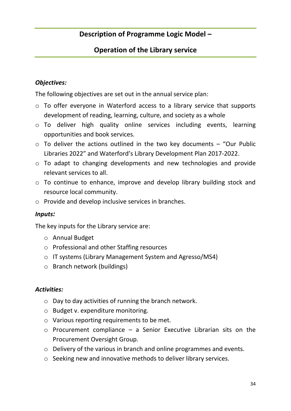### **Description of Programme Logic Model –**

### **Operation of the Library service**

#### *Objectives:*

The following objectives are set out in the annual service plan:

- o To offer everyone in Waterford access to a library service that supports development of reading, learning, culture, and society as a whole
- o To deliver high quality online services including events, learning opportunities and book services.
- $\circ$  To deliver the actions outlined in the two key documents "Our Public Libraries 2022" and Waterford's Library Development Plan 2017-2022.
- o To adapt to changing developments and new technologies and provide relevant services to all.
- o To continue to enhance, improve and develop library building stock and resource local community.
- o Provide and develop inclusive services in branches.

#### *Inputs:*

The key inputs for the Library service are:

- o Annual Budget
- o Professional and other Staffing resources
- o IT systems (Library Management System and Agresso/MS4)
- o Branch network (buildings)

#### *Activities:*

- o Day to day activities of running the branch network.
- o Budget v. expenditure monitoring.
- o Various reporting requirements to be met.
- $\circ$  Procurement compliance a Senior Executive Librarian sits on the Procurement Oversight Group.
- o Delivery of the various in branch and online programmes and events.
- o Seeking new and innovative methods to deliver library services.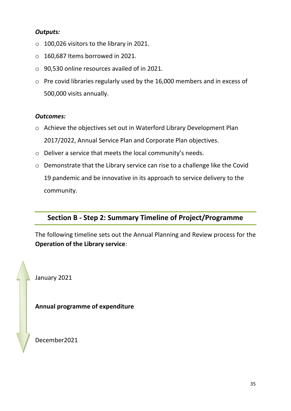#### *Outputs:*

- o 100,026 visitors to the library in 2021.
- o 160,687 Items borrowed in 2021.
- o 90,530 online resources availed of in 2021.
- o Pre covid libraries regularly used by the 16,000 members and in excess of 500,000 visits annually.

#### *Outcomes:*

- o Achieve the objectives set out in Waterford Library Development Plan 2017/2022, Annual Service Plan and Corporate Plan objectives.
- o Deliver a service that meets the local community's needs.
- o Demonstrate that the Library service can rise to a challenge like the Covid 19 pandemic and be innovative in its approach to service delivery to the community.

### **Section B - Step 2: Summary Timeline of Project/Programme**

The following timeline sets out the Annual Planning and Review process for the **Operation of the Library service**:

January 2021

**Annual programme of expenditure** 

December2021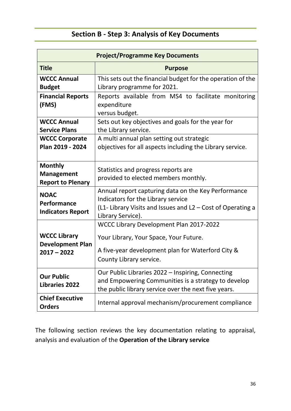# **Section B - Step 3: Analysis of Key Documents**

|                                                                 | <b>Project/Programme Key Documents</b>                                                                                                                                        |
|-----------------------------------------------------------------|-------------------------------------------------------------------------------------------------------------------------------------------------------------------------------|
| <b>Title</b>                                                    | <b>Purpose</b>                                                                                                                                                                |
| <b>WCCC Annual</b><br><b>Budget</b>                             | This sets out the financial budget for the operation of the<br>Library programme for 2021.                                                                                    |
| <b>Financial Reports</b><br>(FMS)                               | Reports available from MS4 to facilitate monitoring<br>expenditure<br>versus budget.                                                                                          |
| <b>WCCC Annual</b><br><b>Service Plans</b>                      | Sets out key objectives and goals for the year for<br>the Library service.                                                                                                    |
| <b>WCCC Corporate</b><br>Plan 2019 - 2024                       | A multi annual plan setting out strategic<br>objectives for all aspects including the Library service.                                                                        |
| <b>Monthly</b><br><b>Management</b><br><b>Report to Plenary</b> | Statistics and progress reports are<br>provided to elected members monthly.                                                                                                   |
| <b>NOAC</b><br>Performance<br><b>Indicators Report</b>          | Annual report capturing data on the Key Performance<br>Indicators for the Library service<br>(L1- Library Visits and Issues and L2 – Cost of Operating a<br>Library Service). |
| <b>WCCC Library</b><br><b>Development Plan</b><br>$2017 - 2022$ | WCCC Library Development Plan 2017-2022<br>Your Library, Your Space, Your Future.<br>A five-year development plan for Waterford City &<br>County Library service.             |
| <b>Our Public</b><br><b>Libraries 2022</b>                      | Our Public Libraries 2022 – Inspiring, Connecting<br>and Empowering Communities is a strategy to develop<br>the public library service over the next five years.              |
| <b>Chief Executive</b><br><b>Orders</b>                         | Internal approval mechanism/procurement compliance                                                                                                                            |

The following section reviews the key documentation relating to appraisal, analysis and evaluation of the **Operation of the Library service**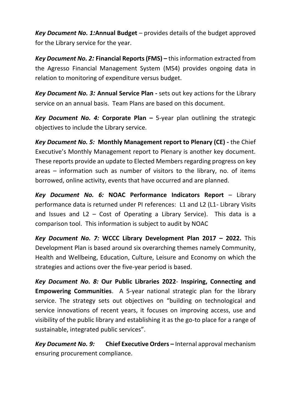*Key Document No. 1:***Annual Budget** – provides details of the budget approved for the Library service for the year.

*Key Document No. 2:* **Financial Reports (FMS) –** this information extracted from the Agresso Financial Management System (MS4) provides ongoing data in relation to monitoring of expenditure versus budget.

*Key Document No. 3:* **Annual Service Plan -** sets out key actions for the Library service on an annual basis. Team Plans are based on this document.

*Key Document No. 4:* **Corporate Plan –** 5-year plan outlining the strategic objectives to include the Library service.

*Key Document No. 5:* **Monthly Management report to Plenary (CE) -** the Chief Executive's Monthly Management report to Plenary is another key document. These reports provide an update to Elected Members regarding progress on key areas – information such as number of visitors to the library, no. of items borrowed, online activity, events that have occurred and are planned.

*Key Document No. 6:* **NOAC Performance Indicators Report** – Library performance data is returned under PI references: L1 and L2 (L1- Library Visits and Issues and  $L2 - Cost$  of Operating a Library Service). This data is a comparison tool. This information is subject to audit by NOAC

*Key Document No. 7:* **WCCC Library Development Plan 2017 – 2022.** This Development Plan is based around six overarching themes namely Community, Health and Wellbeing, Education, Culture, Leisure and Economy on which the strategies and actions over the five-year period is based.

*Key Document No. 8:* **Our Public Libraries 2022**- **Inspiring, Connecting and Empowering Communities**. A 5-year national strategic plan for the library service. The strategy sets out objectives on "building on technological and service innovations of recent years, it focuses on improving access, use and visibility of the public library and establishing it as the go-to place for a range of sustainable, integrated public services".

*Key Document No. 9:* **Chief Executive Orders –** Internal approval mechanism ensuring procurement compliance.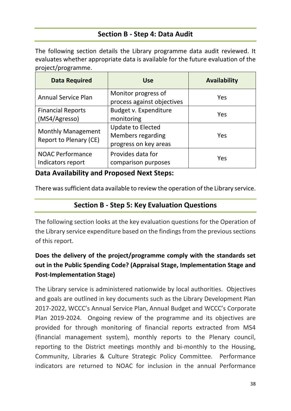### **Section B - Step 4: Data Audit**

The following section details the Library programme data audit reviewed. It evaluates whether appropriate data is available for the future evaluation of the project/programme.

| <b>Data Required</b>                                | <b>Use</b>                                                                    | <b>Availability</b> |
|-----------------------------------------------------|-------------------------------------------------------------------------------|---------------------|
| <b>Annual Service Plan</b>                          | Monitor progress of<br>process against objectives                             | Yes                 |
| <b>Financial Reports</b><br>(MS4/Agresso)           | Budget v. Expenditure<br>monitoring                                           | Yes                 |
| <b>Monthly Management</b><br>Report to Plenary (CE) | <b>Update to Elected</b><br><b>Members regarding</b><br>progress on key areas | Yes                 |
| <b>NOAC Performance</b><br>Indicators report        | Provides data for<br>comparison purposes                                      | Yes                 |

#### **Data Availability and Proposed Next Steps:**

There was sufficient data available to review the operation of the Library service.

### **Section B - Step 5: Key Evaluation Questions**

The following section looks at the key evaluation questions for the Operation of the Library service expenditure based on the findings from the previous sections of this report.

# **Does the delivery of the project/programme comply with the standards set out in the Public Spending Code? (Appraisal Stage, Implementation Stage and Post-Implementation Stage)**

The Library service is administered nationwide by local authorities. Objectives and goals are outlined in key documents such as the Library Development Plan 2017-2022, WCCC's Annual Service Plan, Annual Budget and WCCC's Corporate Plan 2019-2024. Ongoing review of the programme and its objectives are provided for through monitoring of financial reports extracted from MS4 (financial management system), monthly reports to the Plenary council, reporting to the District meetings monthly and bi-monthly to the Housing, Community, Libraries & Culture Strategic Policy Committee. Performance indicators are returned to NOAC for inclusion in the annual Performance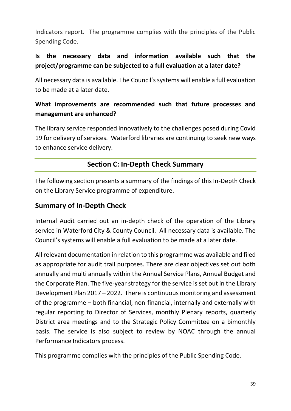Indicators report. The programme complies with the principles of the Public Spending Code.

### **Is the necessary data and information available such that the project/programme can be subjected to a full evaluation at a later date?**

All necessary data is available. The Council's systems will enable a full evaluation to be made at a later date.

### **What improvements are recommended such that future processes and management are enhanced?**

The library service responded innovatively to the challenges posed during Covid 19 for delivery of services. Waterford libraries are continuing to seek new ways to enhance service delivery.

### **Section C: In-Depth Check Summary**

The following section presents a summary of the findings of this In-Depth Check on the Library Service programme of expenditure.

### **Summary of In-Depth Check**

Internal Audit carried out an in-depth check of the operation of the Library service in Waterford City & County Council. All necessary data is available. The Council's systems will enable a full evaluation to be made at a later date.

All relevant documentation in relation to this programme was available and filed as appropriate for audit trail purposes. There are clear objectives set out both annually and multi annually within the Annual Service Plans, Annual Budget and the Corporate Plan. The five-year strategy for the service is set out in the Library Development Plan 2017 – 2022. There is continuous monitoring and assessment of the programme – both financial, non-financial, internally and externally with regular reporting to Director of Services, monthly Plenary reports, quarterly District area meetings and to the Strategic Policy Committee on a bimonthly basis. The service is also subject to review by NOAC through the annual Performance Indicators process.

This programme complies with the principles of the Public Spending Code.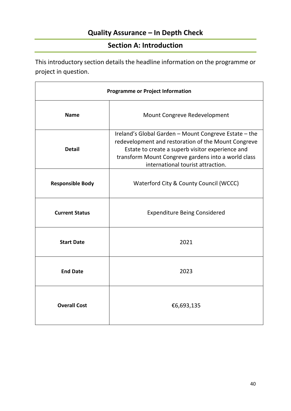# **Quality Assurance – In Depth Check**

### **Section A: Introduction**

This introductory section details the headline information on the programme or project in question.

| <b>Programme or Project Information</b> |                                                                                                                                                                                                                                                              |  |  |  |  |  |  |
|-----------------------------------------|--------------------------------------------------------------------------------------------------------------------------------------------------------------------------------------------------------------------------------------------------------------|--|--|--|--|--|--|
| <b>Name</b>                             | Mount Congreve Redevelopment                                                                                                                                                                                                                                 |  |  |  |  |  |  |
| <b>Detail</b>                           | Ireland's Global Garden - Mount Congreve Estate - the<br>redevelopment and restoration of the Mount Congreve<br>Estate to create a superb visitor experience and<br>transform Mount Congreve gardens into a world class<br>international tourist attraction. |  |  |  |  |  |  |
| <b>Responsible Body</b>                 | Waterford City & County Council (WCCC)                                                                                                                                                                                                                       |  |  |  |  |  |  |
| <b>Current Status</b>                   | <b>Expenditure Being Considered</b>                                                                                                                                                                                                                          |  |  |  |  |  |  |
| <b>Start Date</b>                       | 2021                                                                                                                                                                                                                                                         |  |  |  |  |  |  |
| <b>End Date</b>                         | 2023                                                                                                                                                                                                                                                         |  |  |  |  |  |  |
| <b>Overall Cost</b>                     | €6,693,135                                                                                                                                                                                                                                                   |  |  |  |  |  |  |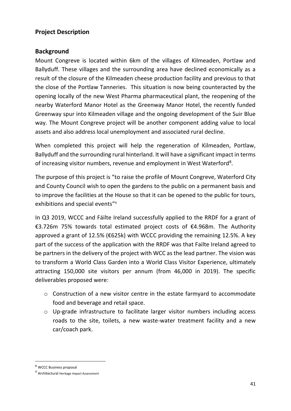#### **Project Description**

#### **Background**

Mount Congreve is located within 6km of the villages of Kilmeaden, Portlaw and Ballyduff. These villages and the surrounding area have declined economically as a result of the closure of the Kilmeaden cheese production facility and previous to that the close of the Portlaw Tanneries. This situation is now being counteracted by the opening locally of the new West Pharma pharmaceutical plant, the reopening of the nearby Waterford Manor Hotel as the Greenway Manor Hotel, the recently funded Greenway spur into Kilmeaden village and the ongoing development of the Suir Blue way. The Mount Congreve project will be another component adding value to local assets and also address local unemployment and associated rural decline.

When completed this project will help the regeneration of Kilmeaden, Portlaw, Ballyduff and the surrounding rural hinterland. It will have a significant impact in terms of increasing visitor numbers, revenue and employment in West Waterford<sup>8</sup>.

The purpose of this project is "to raise the profile of Mount Congreve, Waterford City and County Council wish to open the gardens to the public on a permanent basis and to improve the facilities at the House so that it can be opened to the public for tours, exhibitions and special events"<sup>9</sup>

In Q3 2019, WCCC and Fáilte Ireland successfully applied to the RRDF for a grant of €3.726m 75% towards total estimated project costs of €4.968m. The Authority approved a grant of 12.5% (€625k) with WCCC providing the remaining 12.5%. A key part of the success of the application with the RRDF was that Failte Ireland agreed to be partners in the delivery of the project with WCC as the lead partner. The vision was to transform a World Class Garden into a World Class Visitor Experience, ultimately attracting 150,000 site visitors per annum (from 46,000 in 2019). The specific deliverables proposed were:

- o Construction of a new visitor centre in the estate farmyard to accommodate food and beverage and retail space.
- o Up-grade infrastructure to facilitate larger visitor numbers including access roads to the site, toilets, a new waste-water treatment facility and a new car/coach park.

<sup>8</sup> WCCC Business proposal

<sup>9</sup> Architectural Heritage Impact Assessment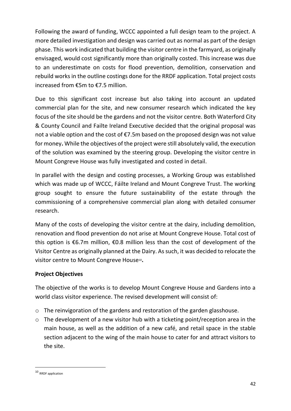Following the award of funding, WCCC appointed a full design team to the project. A more detailed investigation and design was carried out as normal as part of the design phase. This work indicated that building the visitor centre in the farmyard, as originally envisaged, would cost significantly more than originally costed. This increase was due to an underestimate on costs for flood prevention, demolition, conservation and rebuild works in the outline costings done for the RRDF application. Total project costs increased from €5m to €7.5 million.

Due to this significant cost increase but also taking into account an updated commercial plan for the site, and new consumer research which indicated the key focus of the site should be the gardens and not the visitor centre. Both Waterford City & County Council and Failte Ireland Executive decided that the original proposal was not a viable option and the cost of €7.5m based on the proposed design was not value for money**.** While the objectives of the project were still absolutely valid, the execution of the solution was examined by the steering group. Developing the visitor centre in Mount Congreve House was fully investigated and costed in detail.

In parallel with the design and costing processes, a Working Group was established which was made up of WCCC, Fáilte Ireland and Mount Congreve Trust. The working group sought to ensure the future sustainability of the estate through the commissioning of a comprehensive commercial plan along with detailed consumer research.

Many of the costs of developing the visitor centre at the dairy, including demolition, renovation and flood prevention do not arise at Mount Congreve House. Total cost of this option is  $\epsilon$ 6.7m million,  $\epsilon$ 0.8 million less than the cost of development of the Visitor Centre as originally planned at the Dairy. As such, it was decided to relocate the visitor centre to Mount Congreve House10**.**

#### **Project Objectives**

The objective of the works is to develop Mount Congreve House and Gardens into a world class visitor experience. The revised development will consist of:

- o The reinvigoration of the gardens and restoration of the garden glasshouse.
- $\circ$  The development of a new visitor hub with a ticketing point/reception area in the main house, as well as the addition of a new café, and retail space in the stable section adjacent to the wing of the main house to cater for and attract visitors to the site.

<sup>10</sup> RRDF application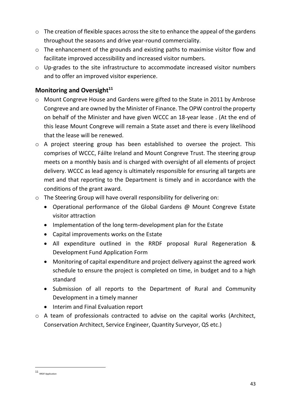- o The creation of flexible spaces across the site to enhance the appeal of the gardens throughout the seasons and drive year-round commerciality.
- o The enhancement of the grounds and existing paths to maximise visitor flow and facilitate improved accessibility and increased visitor numbers.
- o Up-grades to the site infrastructure to accommodate increased visitor numbers and to offer an improved visitor experience.

#### **Monitoring and Oversight<sup>11</sup>**

- o Mount Congreve House and Gardens were gifted to the State in 2011 by Ambrose Congreve and are owned by the Minister of Finance. The OPW control the property on behalf of the Minister and have given WCCC an 18-year lease . (At the end of this lease Mount Congreve will remain a State asset and there is every likelihood that the lease will be renewed.
- o A project steering group has been established to oversee the project. This comprises of WCCC, Fáilte Ireland and Mount Congreve Trust. The steering group meets on a monthly basis and is charged with oversight of all elements of project delivery. WCCC as lead agency is ultimately responsible for ensuring all targets are met and that reporting to the Department is timely and in accordance with the conditions of the grant award.
- o The Steering Group will have overall responsibility for delivering on:
	- Operational performance of the Global Gardens @ Mount Congreve Estate visitor attraction
	- Implementation of the long term-development plan for the Estate
	- Capital improvements works on the Estate
	- All expenditure outlined in the RRDF proposal Rural Regeneration & Development Fund Application Form
	- Monitoring of capital expenditure and project delivery against the agreed work schedule to ensure the project is completed on time, in budget and to a high standard
	- Submission of all reports to the Department of Rural and Community Development in a timely manner
	- Interim and Final Evaluation report
- o A team of professionals contracted to advise on the capital works (Architect, Conservation Architect, Service Engineer, Quantity Surveyor, QS etc.)

<sup>11</sup> RRDF Application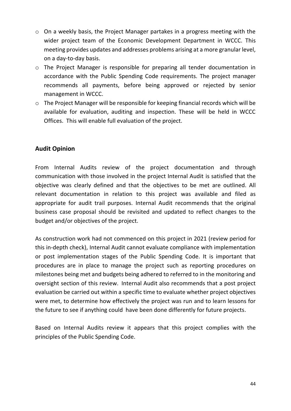- o On a weekly basis, the Project Manager partakes in a progress meeting with the wider project team of the Economic Development Department in WCCC. This meeting provides updates and addresses problems arising at a more granular level, on a day-to-day basis.
- o The Project Manager is responsible for preparing all tender documentation in accordance with the Public Spending Code requirements. The project manager recommends all payments, before being approved or rejected by senior management in WCCC.
- o The Project Manager will be responsible for keeping financial records which will be available for evaluation, auditing and inspection. These will be held in WCCC Offices. This will enable full evaluation of the project.

#### **Audit Opinion**

From Internal Audits review of the project documentation and through communication with those involved in the project Internal Audit is satisfied that the objective was clearly defined and that the objectives to be met are outlined. All relevant documentation in relation to this project was available and filed as appropriate for audit trail purposes. Internal Audit recommends that the original business case proposal should be revisited and updated to reflect changes to the budget and/or objectives of the project.

As construction work had not commenced on this project in 2021 (review period for this in-depth check), Internal Audit cannot evaluate compliance with implementation or post implementation stages of the Public Spending Code. It is important that procedures are in place to manage the project such as reporting procedures on milestones being met and budgets being adhered to referred to in the monitoring and oversight section of this review. Internal Audit also recommends that a post project evaluation be carried out within a specific time to evaluate whether project objectives were met, to determine how effectively the project was run and to learn lessons for the future to see if anything could have been done differently for future projects.

Based on Internal Audits review it appears that this project complies with the principles of the Public Spending Code.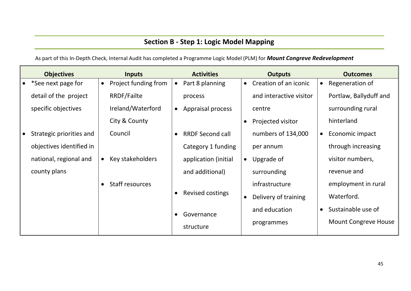# **Section B - Step 1: Logic Model Mapping**

As part of this In-Depth Check, Internal Audit has completed a Programme Logic Model (PLM) for *Mount Congreve Redevelopment*

| <b>Objectives</b>        |           | <b>Inputs</b>        |           | <b>Activities</b>       |           | <b>Outputs</b>          |           | <b>Outcomes</b>             |
|--------------------------|-----------|----------------------|-----------|-------------------------|-----------|-------------------------|-----------|-----------------------------|
| *See next page for       | $\bullet$ | Project funding from |           | Part 8 planning         | $\bullet$ | Creation of an iconic   | $\bullet$ | Regeneration of             |
| detail of the project    |           | <b>RRDF/Failte</b>   |           | process                 |           | and interactive visitor |           | Portlaw, Ballyduff and      |
| specific objectives      |           | Ireland/Waterford    | $\bullet$ | Appraisal process       |           | centre                  |           | surrounding rural           |
|                          |           | City & County        |           |                         | $\bullet$ | Projected visitor       |           | hinterland                  |
| Strategic priorities and |           | Council              |           | <b>RRDF Second call</b> |           | numbers of 134,000      | $\bullet$ | Economic impact             |
| objectives identified in |           |                      |           | Category 1 funding      |           | per annum               |           | through increasing          |
| national, regional and   | $\bullet$ | Key stakeholders     |           | application (initial    | $\bullet$ | Upgrade of              |           | visitor numbers,            |
| county plans             |           |                      |           | and additional)         |           | surrounding             |           | revenue and                 |
|                          |           | Staff resources      |           |                         |           | infrastructure          |           | employment in rural         |
|                          |           |                      |           | Revised costings        | $\bullet$ | Delivery of training    |           | Waterford.                  |
|                          |           |                      |           | Governance              |           | and education           | $\bullet$ | Sustainable use of          |
|                          |           |                      |           | structure               |           | programmes              |           | <b>Mount Congreve House</b> |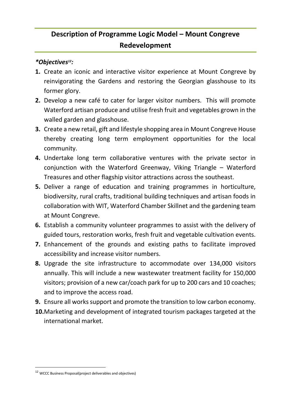# **Description of Programme Logic Model – Mount Congreve Redevelopment**

#### *\*Objectives12:*

- **1.** Create an iconic and interactive visitor experience at Mount Congreve by reinvigorating the Gardens and restoring the Georgian glasshouse to its former glory.
- **2.** Develop a new café to cater for larger visitor numbers. This will promote Waterford artisan produce and utilise fresh fruit and vegetables grown in the walled garden and glasshouse.
- **3.** Create a new retail, gift and lifestyle shopping area in Mount Congreve House thereby creating long term employment opportunities for the local community.
- **4.** Undertake long term collaborative ventures with the private sector in conjunction with the Waterford Greenway, Viking Triangle – Waterford Treasures and other flagship visitor attractions across the southeast.
- **5.** Deliver a range of education and training programmes in horticulture, biodiversity, rural crafts, traditional building techniques and artisan foods in collaboration with WIT, Waterford Chamber Skillnet and the gardening team at Mount Congreve.
- **6.** Establish a community volunteer programmes to assist with the delivery of guided tours, restoration works, fresh fruit and vegetable cultivation events.
- **7.** Enhancement of the grounds and existing paths to facilitate improved accessibility and increase visitor numbers.
- **8.** Upgrade the site infrastructure to accommodate over 134,000 visitors annually. This will include a new wastewater treatment facility for 150,000 visitors; provision of a new car/coach park for up to 200 cars and 10 coaches; and to improve the access road.
- **9.** Ensure all works support and promote the transition to low carbon economy.
- **10.**Marketing and development of integrated tourism packages targeted at the international market.

<sup>12</sup> WCCC Business Proposal(project deliverables and objectives)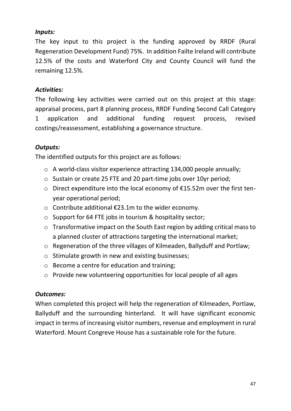#### *Inputs:*

The key input to this project is the funding approved by RRDF (Rural Regeneration Development Fund) 75%. In addition Failte Ireland will contribute 12.5% of the costs and Waterford City and County Council will fund the remaining 12.5%.

### *Activities:*

The following key activities were carried out on this project at this stage: appraisal process, part 8 planning process, RRDF Funding Second Call Category 1 application and additional funding request process, revised costings/reassessment, establishing a governance structure.

### *Outputs:*

The identified outputs for this project are as follows:

- o A world-class visitor experience attracting 134,000 people annually;
- o Sustain or create 25 FTE and 20 part-time jobs over 10yr period;
- o Direct expenditure into the local economy of €15.52m over the first tenyear operational period;
- o Contribute additional €23.1m to the wider economy.
- o Support for 64 FTE jobs in tourism & hospitality sector;
- o Transformative impact on the South East region by adding critical mass to a planned cluster of attractions targeting the international market;
- o Regeneration of the three villages of Kilmeaden, Ballyduff and Portlaw;
- o Stimulate growth in new and existing businesses;
- o Become a centre for education and training;
- o Provide new volunteering opportunities for local people of all ages

#### *Outcomes:*

When completed this project will help the regeneration of Kilmeaden, Portlaw, Ballyduff and the surrounding hinterland. It will have significant economic impact in terms of increasing visitor numbers, revenue and employment in rural Waterford. Mount Congreve House has a sustainable role for the future.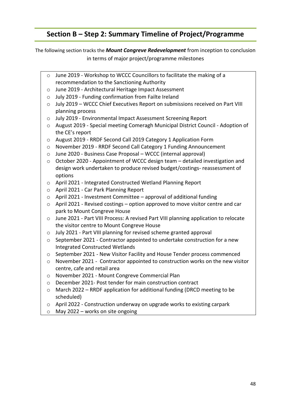### **Section B – Step 2: Summary Timeline of Project/Programme**

The following section tracks the *Mount Congreve Redevelopment* from inception to conclusion in terms of major project/programme milestones

- o June 2019 Workshop to WCCC Councillors to facilitate the making of a recommendation to the Sanctioning Authority
- o June 2019 Architectural Heritage Impact Assessment
- o July 2019 Funding confirmation from Failte Ireland
- o July 2019 WCCC Chief Executives Report on submissions received on Part VIII planning process
- o July 2019 Environmental Impact Assessment Screening Report
- o August 2019 Special meeting Comeragh Municipal District Council Adoption of the CE's report
- o August 2019 RRDF Second Call 2019 Category 1 Application Form
- o November 2019 RRDF Second Call Category 1 Funding Announcement
- o June 2020 Business Case Proposal WCCC (internal approval)
- o October 2020 Appointment of WCCC design team detailed investigation and design work undertaken to produce revised budget/costings- reassessment of options
- o April 2021 Integrated Constructed Wetland Planning Report
- o April 2021 Car Park Planning Report
- o April 2021 Investment Committee approval of additional funding
- o April 2021 Revised costings option approved to move visitor centre and car park to Mount Congreve House
- o June 2021 Part VIII Process: A revised Part VIII planning application to relocate the visitor centre to Mount Congreve House
- o July 2021 Part VIII planning for revised scheme granted approval
- o September 2021 Contractor appointed to undertake construction for a new Integrated Constructed Wetlands
- o September 2021 New Visitor Facility and House Tender process commenced
- $\circ$  November 2021 Contractor appointed to construction works on the new visitor centre, cafe and retail area
- o November 2021 Mount Congreve Commercial Plan
- o December 2021- Post tender for main construction contract
- o March 2022 RRDF application for additional funding (DRCD meeting to be scheduled)
- o April 2022 Construction underway on upgrade works to existing carpark
- $\circ$  May 2022 works on site ongoing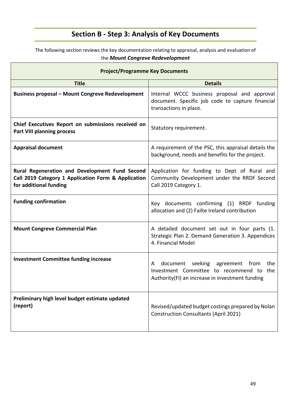# **Section B - Step 3: Analysis of Key Documents**

The following section reviews the key documentation relating to appraisal, analysis and evaluation of the *Mount Congreve Redevelopment*

| <b>Project/Programme Key Documents</b>                                                                                          |                                                                                                                                               |  |  |  |  |  |  |  |
|---------------------------------------------------------------------------------------------------------------------------------|-----------------------------------------------------------------------------------------------------------------------------------------------|--|--|--|--|--|--|--|
| <b>Title</b>                                                                                                                    | <b>Details</b>                                                                                                                                |  |  |  |  |  |  |  |
| <b>Business proposal - Mount Congreve Redevelopment</b>                                                                         | Internal WCCC business proposal and approval<br>document. Specific job code to capture financial<br>transactions in place.                    |  |  |  |  |  |  |  |
| Chief Executives Report on submissions received on<br><b>Part VIII planning process</b>                                         | Statutory requirement.                                                                                                                        |  |  |  |  |  |  |  |
| <b>Appraisal document</b>                                                                                                       | A requirement of the PSC, this appraisal details the<br>background, needs and benefits for the project.                                       |  |  |  |  |  |  |  |
| Rural Regeneration and Development Fund Second<br>Call 2019 Category 1 Application Form & Application<br>for additional funding | Application for funding to Dept of Rural and<br>Community Development under the RRDF Second<br>Call 2019 Category 1.                          |  |  |  |  |  |  |  |
| <b>Funding confirmation</b>                                                                                                     | Key documents confirming (1) RRDF funding<br>allocation and (2) Failte Ireland contribution                                                   |  |  |  |  |  |  |  |
| <b>Mount Congreve Commercial Plan</b>                                                                                           | A detailed document set out in four parts (1.<br>Strategic Plan 2. Demand Generation 3. Appendices<br>4. Financial Model                      |  |  |  |  |  |  |  |
| <b>Investment Committee funding increase</b>                                                                                    | document seeking agreement from<br>the<br>A<br>Investment Committee to recommend to<br>the<br>Authority(FI) an increase in investment funding |  |  |  |  |  |  |  |
| Preliminary high level budget estimate updated<br>(report)                                                                      | Revised/updated budget costings prepared by Nolan<br><b>Construction Consultants (April 2021)</b>                                             |  |  |  |  |  |  |  |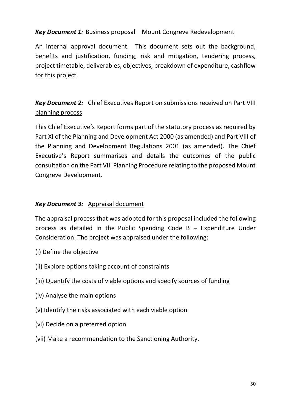### *Key Document 1:* Business proposal – Mount Congreve Redevelopment

An internal approval document. This document sets out the background, benefits and justification, funding, risk and mitigation, tendering process, project timetable, deliverables, objectives, breakdown of expenditure, cashflow for this project.

# *Key Document 2:* Chief Executives Report on submissions received on Part VIII planning process

This Chief Executive's Report forms part of the statutory process as required by Part XI of the Planning and Development Act 2000 (as amended) and Part VIII of the Planning and Development Regulations 2001 (as amended). The Chief Executive's Report summarises and details the outcomes of the public consultation on the Part VIII Planning Procedure relating to the proposed Mount Congreve Development.

#### *Key Document 3:* Appraisal document

The appraisal process that was adopted for this proposal included the following process as detailed in the Public Spending Code B – Expenditure Under Consideration. The project was appraised under the following:

- (i) Define the objective
- (ii) Explore options taking account of constraints
- (iii) Quantify the costs of viable options and specify sources of funding
- (iv) Analyse the main options
- (v) Identify the risks associated with each viable option
- (vi) Decide on a preferred option
- (vii) Make a recommendation to the Sanctioning Authority.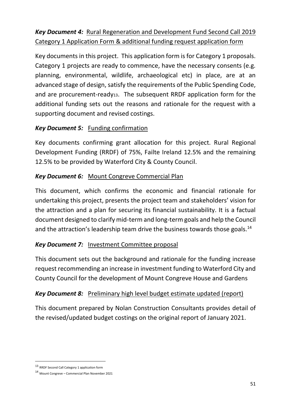# *Key Document 4:* Rural Regeneration and Development Fund Second Call 2019 Category 1 Application Form & additional funding request application form

Key documents in this project. This application form is for Category 1 proposals. Category 1 projects are ready to commence, have the necessary consents (e.g. planning, environmental, wildlife, archaeological etc) in place, are at an advanced stage of design, satisfy the requirements of the Public Spending Code, and are procurement-ready13. The subsequent RRDF application form for the additional funding sets out the reasons and rationale for the request with a supporting document and revised costings.

### *Key Document 5:* Funding confirmation

Key documents confirming grant allocation for this project. Rural Regional Development Funding (RRDF) of 75%, Failte Ireland 12.5% and the remaining 12.5% to be provided by Waterford City & County Council.

### *Key Document 6:* Mount Congreve Commercial Plan

This document, which confirms the economic and financial rationale for undertaking this project, presents the project team and stakeholders' vision for the attraction and a plan for securing its financial sustainability. It is a factual document designed to clarify mid-term and long-term goals and help the Council and the attraction's leadership team drive the business towards those goals.<sup>14</sup>

### *Key Document 7:* Investment Committee proposal

This document sets out the background and rationale for the funding increase request recommending an increase in investment funding to Waterford City and County Council for the development of Mount Congreve House and Gardens

### *Key Document 8:* Preliminary high level budget estimate updated (report)

This document prepared by Nolan Construction Consultants provides detail of the revised/updated budget costings on the original report of January 2021.

<sup>13</sup> RRDF Second Call Category 1 application form

<sup>14</sup> Mount Congreve – Commercial Plan November 2021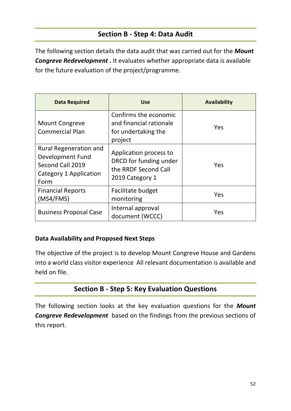### **Section B - Step 4: Data Audit**

The following section details the data audit that was carried out for the *Mount*  **Congreve Redevelopment** . It evaluates whether appropriate data is available for the future evaluation of the project/programme.

| <b>Data Required</b>                                                                                           | <b>Use</b>                                                                                  | <b>Availability</b> |
|----------------------------------------------------------------------------------------------------------------|---------------------------------------------------------------------------------------------|---------------------|
| <b>Mount Congreve</b><br><b>Commercial Plan</b>                                                                | Confirms the economic<br>and financial rationale<br>for undertaking the<br>project          | Yes                 |
| <b>Rural Regeneration and</b><br>Development Fund<br>Second Call 2019<br><b>Category 1 Application</b><br>Form | Application process to<br>DRCD for funding under<br>the RRDF Second Call<br>2019 Category 1 | Yes                 |
| <b>Financial Reports</b><br>(MSA/FMS)                                                                          | Facilitate budget<br>monitoring                                                             | Yes                 |
| <b>Business Proposal Case</b>                                                                                  | Internal approval<br>document (WCCC)                                                        | Yes                 |

#### **Data Availability and Proposed Next Steps**

The objective of the project is to develop Mount Congreve House and Gardens into a world class visitor experience All relevant documentation is available and held on file.

### **Section B - Step 5: Key Evaluation Questions**

The following section looks at the key evaluation questions for the *Mount Congreve Redevelopment* based on the findings from the previous sections of this report.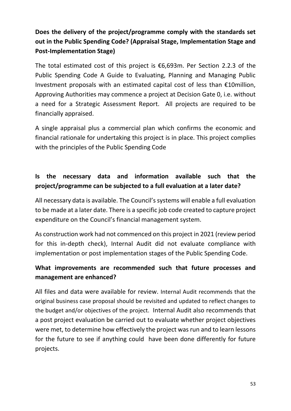# **Does the delivery of the project/programme comply with the standards set out in the Public Spending Code? (Appraisal Stage, Implementation Stage and Post-Implementation Stage)**

The total estimated cost of this project is  $\epsilon$ 6,693m. Per Section 2.2.3 of the Public Spending Code A Guide to Evaluating, Planning and Managing Public Investment proposals with an estimated capital cost of less than €10million, Approving Authorities may commence a project at Decision Gate 0, i.e. without a need for a Strategic Assessment Report. All projects are required to be financially appraised.

A single appraisal plus a commercial plan which confirms the economic and financial rationale for undertaking this project is in place. This project complies with the principles of the Public Spending Code

# **Is the necessary data and information available such that the project/programme can be subjected to a full evaluation at a later date?**

All necessary data is available. The Council's systems will enable a full evaluation to be made at a later date. There is a specific job code created to capture project expenditure on the Council's financial management system.

As construction work had not commenced on this project in 2021 (review period for this in-depth check), Internal Audit did not evaluate compliance with implementation or post implementation stages of the Public Spending Code.

### **What improvements are recommended such that future processes and management are enhanced?**

All files and data were available for review. Internal Audit recommends that the original business case proposal should be revisited and updated to reflect changes to the budget and/or objectives of the project. Internal Audit also recommends that a post project evaluation be carried out to evaluate whether project objectives were met, to determine how effectively the project was run and to learn lessons for the future to see if anything could have been done differently for future projects.